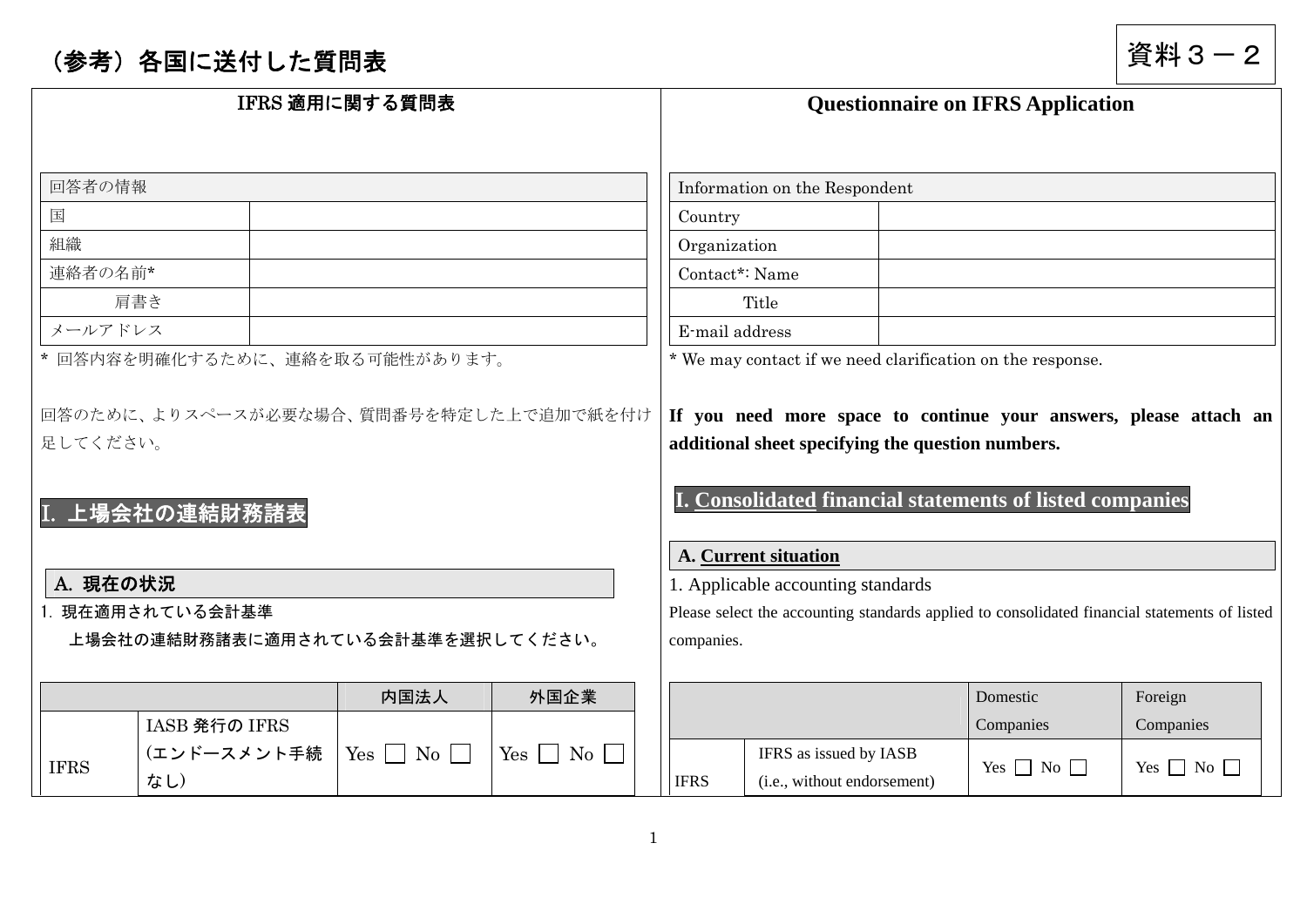## (参考)各国に送付した質問表 すいしゃ インスタン すいこう しょうしょう すいの すいの うらい うらい うらの うらい うらい うらい うらい うちの うちの

| IFRS 適用に関する質問表 |                                   |                                | <b>Questionnaire on IFRS Application</b> |                                                                                               |                                                                                                                                       |                      |                      |  |  |
|----------------|-----------------------------------|--------------------------------|------------------------------------------|-----------------------------------------------------------------------------------------------|---------------------------------------------------------------------------------------------------------------------------------------|----------------------|----------------------|--|--|
| 回答者の情報         |                                   |                                |                                          |                                                                                               | Information on the Respondent                                                                                                         |                      |                      |  |  |
| 国              |                                   |                                |                                          | Country                                                                                       |                                                                                                                                       |                      |                      |  |  |
| 組織             |                                   |                                |                                          | Organization                                                                                  |                                                                                                                                       |                      |                      |  |  |
| 連絡者の名前*        |                                   |                                |                                          | Contact*: Name                                                                                |                                                                                                                                       |                      |                      |  |  |
|                | 肩書き                               |                                |                                          |                                                                                               | Title                                                                                                                                 |                      |                      |  |  |
| メールアドレス        |                                   |                                |                                          | E-mail address                                                                                |                                                                                                                                       |                      |                      |  |  |
|                | * 回答内容を明確化するために、連絡を取る可能性があります。    |                                |                                          |                                                                                               | * We may contact if we need clarification on the response.                                                                            |                      |                      |  |  |
| 足してください。       | I. 上場会社の連結財務諸表                    |                                |                                          |                                                                                               | additional sheet specifying the question numbers.<br>I. Consolidated financial statements of listed companies<br>A. Current situation |                      |                      |  |  |
| A. 現在の状況       |                                   |                                |                                          | 1. Applicable accounting standards                                                            |                                                                                                                                       |                      |                      |  |  |
|                | 1. 現在適用されている会計基準                  |                                |                                          | Please select the accounting standards applied to consolidated financial statements of listed |                                                                                                                                       |                      |                      |  |  |
|                | 上場会社の連結財務諸表に適用されている会計基準を選択してください。 |                                |                                          |                                                                                               | companies.                                                                                                                            |                      |                      |  |  |
|                |                                   |                                |                                          |                                                                                               |                                                                                                                                       |                      |                      |  |  |
|                |                                   | 内国法人                           | 外国企業                                     |                                                                                               |                                                                                                                                       | Domestic             | Foreign              |  |  |
|                | IASB 発行の IFRS                     |                                |                                          |                                                                                               |                                                                                                                                       | Companies            | Companies            |  |  |
| <b>IFRS</b>    | (エンドースメント手続<br>なし)                | $Yes \Box$<br>$\overline{N_0}$ | $Yes \mid \cdot$<br>$\rm{No}$            | <b>IFRS</b>                                                                                   | IFRS as issued by IASB<br>(i.e., without endorsement)                                                                                 | Yes $\Box$ No $\Box$ | Yes $\Box$ No $\Box$ |  |  |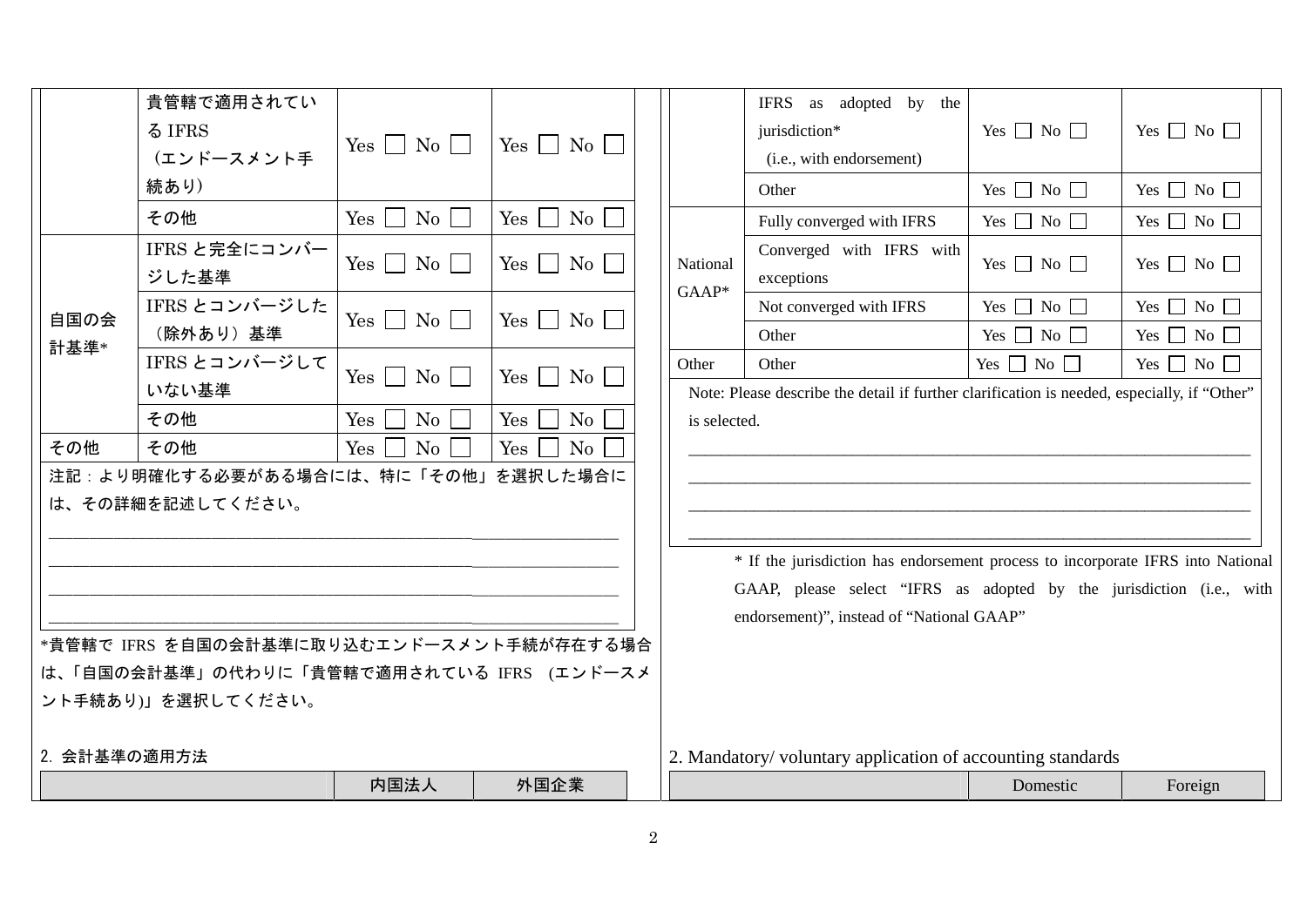|              | 貴管轄で適用されてい                                |                        |                                          |                                                                                             | IFRS as adopted by the                                               |                      |                      |  |  |  |  |
|--------------|-------------------------------------------|------------------------|------------------------------------------|---------------------------------------------------------------------------------------------|----------------------------------------------------------------------|----------------------|----------------------|--|--|--|--|
|              | る IFRS                                    | $Yes \Box No \Box$     | $Yes \nightharpoonup No \nightharpoonup$ |                                                                                             | jurisdiction*                                                        | Yes $\Box$ No $\Box$ | Yes $\Box$ No $\Box$ |  |  |  |  |
|              | (エンドースメント手                                |                        |                                          |                                                                                             | (i.e., with endorsement)                                             |                      |                      |  |  |  |  |
|              | 続あり)                                      |                        |                                          |                                                                                             | Other                                                                | Yes $\Box$ No $\Box$ | Yes $\Box$ No $\Box$ |  |  |  |  |
|              | その他                                       | $Yes \mid No \mid$     | Yes<br>No                                |                                                                                             | Fully converged with IFRS                                            | Yes $\Box$ No $\Box$ | Yes $\Box$ No $\Box$ |  |  |  |  |
|              | IFRS と完全にコンバー<br>ジした基準                    | $Yes \n\Box No \n\Box$ | $Yes \mid \mid No \mid$                  | National<br>$GAAP*$                                                                         | Converged with IFRS with<br>exceptions                               | Yes $\Box$ No $\Box$ | Yes $\Box$ No $\Box$ |  |  |  |  |
| 自国の会         | IFRS とコンバージした                             | $Yes \tNo \t$          | $Yes \tNo \t $                           |                                                                                             | Not converged with IFRS                                              | Yes $\Box$ No $\Box$ | Yes $\Box$ No $\Box$ |  |  |  |  |
| 計基準*         | (除外あり)基準                                  |                        |                                          |                                                                                             | Other                                                                | Yes $\Box$ No $\Box$ | Yes $\Box$ No $\Box$ |  |  |  |  |
|              | IFRS とコンバージして                             | $Yes \tNo \tN$         | $Yes \Box$<br>$\mathrm{No}$              | Other                                                                                       | Other                                                                | Yes $\Box$ No $\Box$ | Yes $\Box$ No $\Box$ |  |  |  |  |
|              | いない基準                                     |                        |                                          | Note: Please describe the detail if further clarification is needed, especially, if "Other" |                                                                      |                      |                      |  |  |  |  |
|              | その他                                       | Yes<br>No              | Yes<br>No                                | is selected.                                                                                |                                                                      |                      |                      |  |  |  |  |
| その他          | その他                                       | Yes<br>$\rm No$        | No<br>Yes                                |                                                                                             |                                                                      |                      |                      |  |  |  |  |
|              | 注記:より明確化する必要がある場合には、特に「その他」を選択した場合に       |                        |                                          |                                                                                             |                                                                      |                      |                      |  |  |  |  |
|              | は、その詳細を記述してください。                          |                        |                                          |                                                                                             |                                                                      |                      |                      |  |  |  |  |
|              |                                           |                        |                                          |                                                                                             |                                                                      |                      |                      |  |  |  |  |
|              |                                           |                        |                                          | * If the jurisdiction has endorsement process to incorporate IFRS into National             |                                                                      |                      |                      |  |  |  |  |
|              |                                           |                        |                                          |                                                                                             | GAAP, please select "IFRS as adopted by the jurisdiction (i.e., with |                      |                      |  |  |  |  |
|              |                                           |                        |                                          |                                                                                             | endorsement)", instead of "National GAAP"                            |                      |                      |  |  |  |  |
|              | *貴管轄で IFRS を自国の会計基準に取り込むエンドースメント手続が存在する場合 |                        |                                          |                                                                                             |                                                                      |                      |                      |  |  |  |  |
|              | は、「自国の会計基準」の代わりに「貴管轄で適用されている IFRS (エンドースメ |                        |                                          |                                                                                             |                                                                      |                      |                      |  |  |  |  |
|              | ント手続あり)」を選択してください。                        |                        |                                          |                                                                                             |                                                                      |                      |                      |  |  |  |  |
|              |                                           |                        |                                          |                                                                                             |                                                                      |                      |                      |  |  |  |  |
| 2. 会計基準の適用方法 |                                           |                        |                                          |                                                                                             | 2. Mandatory/voluntary application of accounting standards           |                      |                      |  |  |  |  |
|              |                                           | 内国法人                   | 外国企業                                     |                                                                                             |                                                                      | Domestic             | Foreign              |  |  |  |  |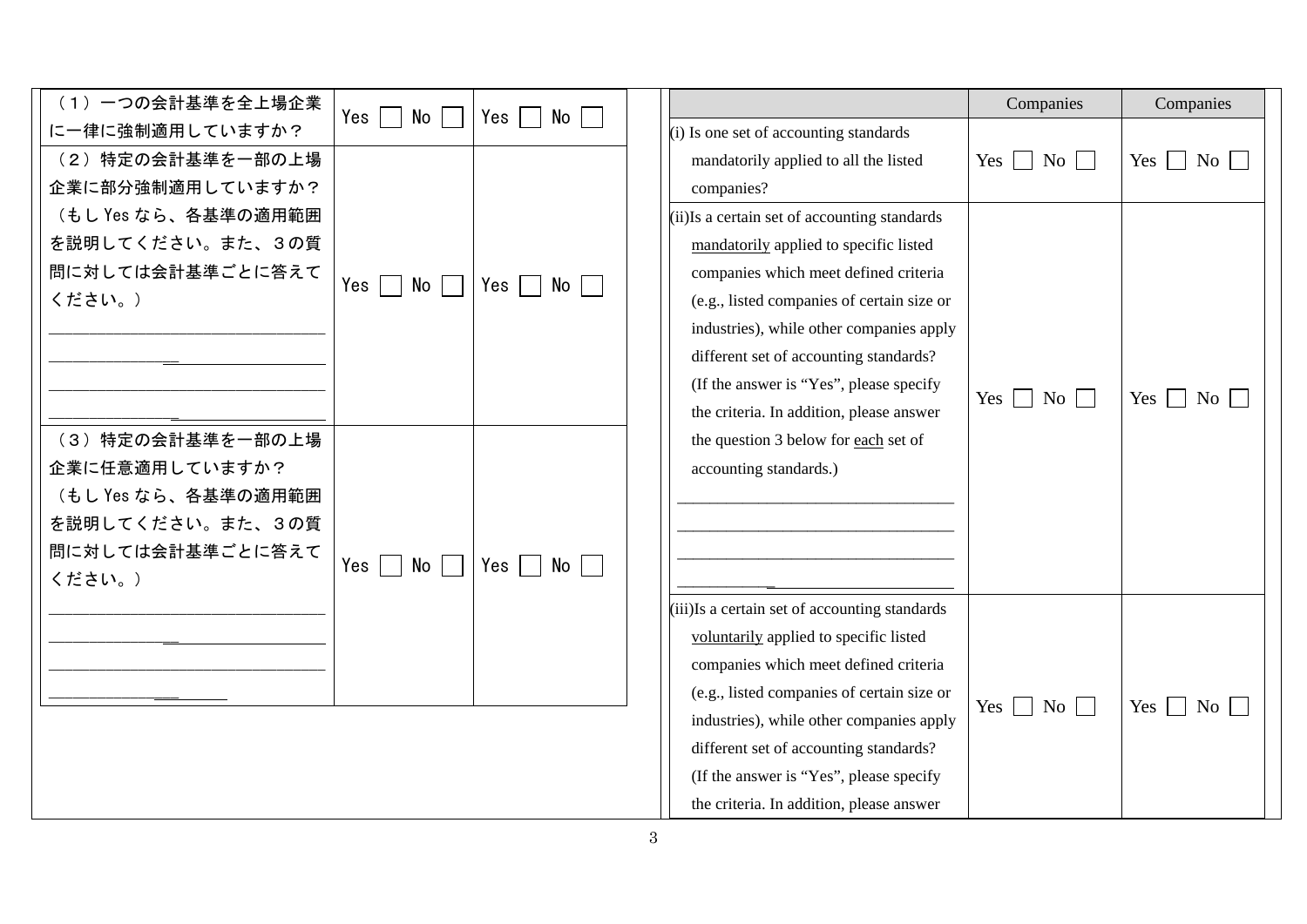| (1) 一つの会計基準を全上場企業   | Yes  <br>$\mathcal{L}_{\mathcal{A}}$<br>No   | Yes<br>$No \ \Box$ |                                               | Companies            | Companies            |
|---------------------|----------------------------------------------|--------------------|-----------------------------------------------|----------------------|----------------------|
| に一律に強制適用していますか?     |                                              |                    | (i) Is one set of accounting standards        |                      |                      |
| (2) 特定の会計基準を一部の上場   |                                              |                    | mandatorily applied to all the listed         | Yes $\Box$ No $\Box$ | $Yes \t No \t$       |
| 企業に部分強制適用していますか?    |                                              |                    | companies?                                    |                      |                      |
| (もし Yes なら、各基準の適用範囲 |                                              |                    | (ii) Is a certain set of accounting standards |                      |                      |
| を説明してください。また、3の質    |                                              |                    | mandatorily applied to specific listed        |                      |                      |
| 問に対しては会計基準ごとに答えて    | Yes  <br>No  <br>$\mathcal{L}^{\mathcal{L}}$ | Yes<br>$No$        | companies which meet defined criteria         |                      |                      |
| ください。)              |                                              |                    | (e.g., listed companies of certain size or    |                      |                      |
|                     |                                              |                    | industries), while other companies apply      |                      |                      |
|                     |                                              |                    | different set of accounting standards?        |                      |                      |
|                     |                                              |                    | (If the answer is "Yes", please specify       | Yes $\Box$ No $\Box$ | Yes $\Box$ No        |
|                     |                                              |                    | the criteria. In addition, please answer      |                      |                      |
| (3) 特定の会計基準を一部の上場   |                                              |                    | the question 3 below for each set of          |                      |                      |
| 企業に任意適用していますか?      |                                              |                    | accounting standards.)                        |                      |                      |
| (もし Yes なら、各基準の適用範囲 |                                              |                    |                                               |                      |                      |
| を説明してください。また、3の質    |                                              |                    |                                               |                      |                      |
| 問に対しては会計基準ごとに答えて    | $Yes \mid \mid$<br>No                        | Yes<br>No          |                                               |                      |                      |
| ください。)              |                                              |                    |                                               |                      |                      |
|                     |                                              |                    | (iii)Is a certain set of accounting standards |                      |                      |
|                     |                                              |                    | voluntarily applied to specific listed        |                      |                      |
|                     |                                              |                    | companies which meet defined criteria         |                      |                      |
|                     |                                              |                    | (e.g., listed companies of certain size or    | Yes $\Box$ No $\Box$ | Yes $\Box$ No $\Box$ |
|                     |                                              |                    | industries), while other companies apply      |                      |                      |
|                     |                                              |                    | different set of accounting standards?        |                      |                      |
|                     |                                              |                    | (If the answer is "Yes", please specify       |                      |                      |
|                     |                                              |                    | the criteria. In addition, please answer      |                      |                      |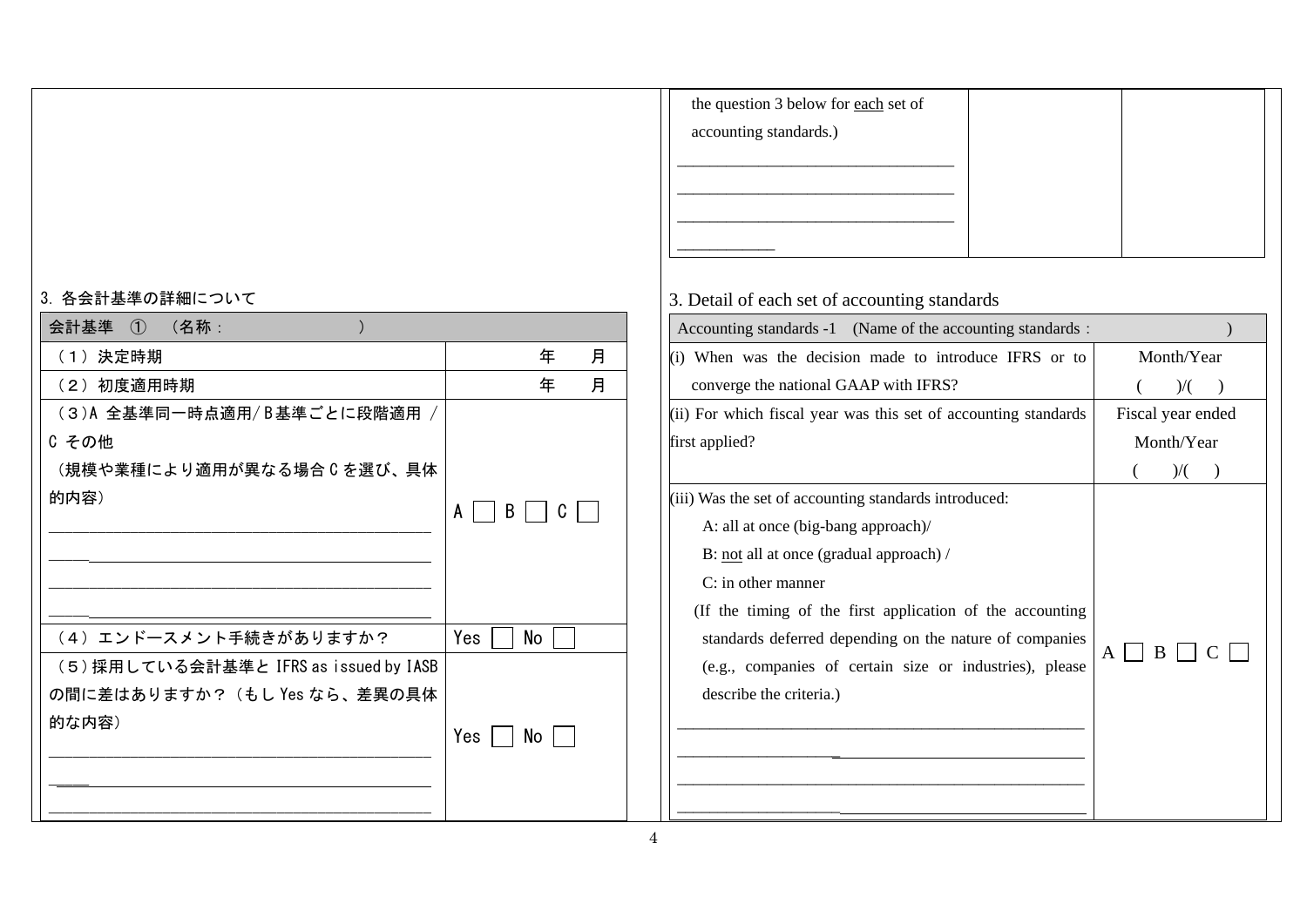| 3. 各会計基準の詳細について                        |          |    |   |
|----------------------------------------|----------|----|---|
| 会計基準 ① (名称:                            |          |    |   |
| (1) 決定時期                               |          | 年  | 月 |
| (2) 初度適用時期                             |          | 年  | 月 |
| (3)A 全基準同一時点適用/B基準ごとに段階適用 /            |          |    |   |
| C その他                                  |          |    |   |
| (規模や業種により適用が異なる場合 C を選び、具体             |          |    |   |
| 的内容)                                   | B  <br>A | C  |   |
|                                        |          |    |   |
|                                        |          |    |   |
|                                        |          |    |   |
|                                        |          |    |   |
| (4) エンドースメント手続きがありますか?                 | Yes      | No |   |
| (5) 採用している会計基準と IFRS as issued by IASB |          |    |   |
| の間に差はありますか? (もし Yes なら、差異の具体           |          |    |   |
| 的な内容)                                  | Yes I    | No |   |
|                                        |          |    |   |
|                                        |          |    |   |
|                                        |          |    |   |

| the question 3 below for each set of |  |
|--------------------------------------|--|
| accounting standards.)               |  |
|                                      |  |
|                                      |  |
|                                      |  |
|                                      |  |

## 3. Detail of each set of accounting standards

| Accounting standards -1 (Name of the accounting standards :     |   |                   |
|-----------------------------------------------------------------|---|-------------------|
| (i) When was the decision made to introduce IFRS or to          |   | Month/Year        |
| converge the national GAAP with IFRS?                           |   | $\mathcal{V}$     |
| (ii) For which fiscal year was this set of accounting standards |   | Fiscal year ended |
| first applied?                                                  |   | Month/Year        |
|                                                                 |   | )/(               |
| (iii) Was the set of accounting standards introduced:           |   |                   |
| A: all at once (big-bang approach)/                             |   |                   |
| B: <u>not</u> all at once (gradual approach) /                  |   |                   |
| $C:$ in other manner                                            |   |                   |
| (If the timing of the first application of the accounting       |   |                   |
| standards deferred depending on the nature of companies         | A | B                 |
| (e.g., companies of certain size or industries), please         |   |                   |
| describe the criteria.)                                         |   |                   |
|                                                                 |   |                   |
|                                                                 |   |                   |
|                                                                 |   |                   |
|                                                                 |   |                   |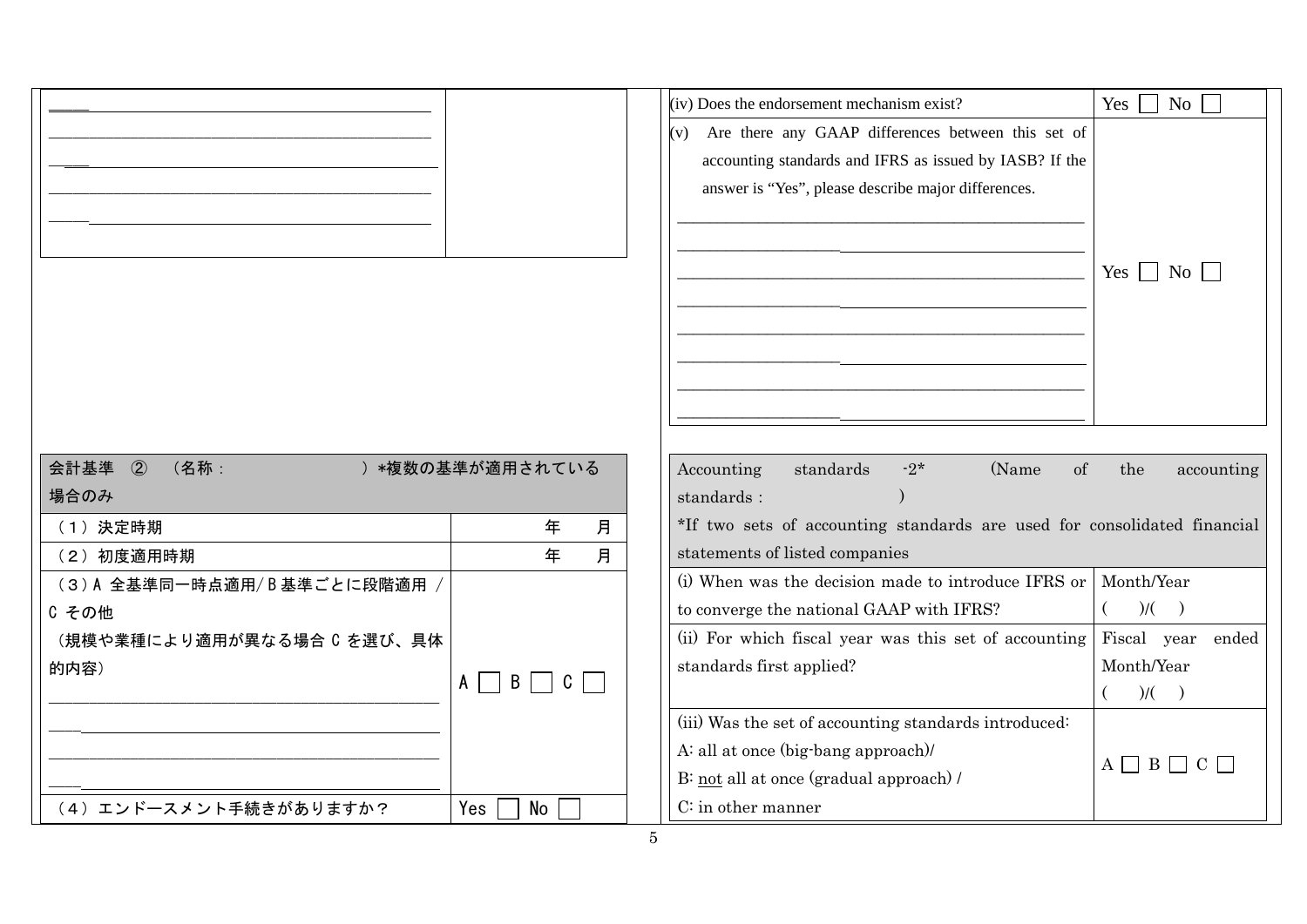|                               |                   | (iv) Does the endorsement mechanism exist?                               | Yes<br>$\overline{N_{0}}$ |
|-------------------------------|-------------------|--------------------------------------------------------------------------|---------------------------|
|                               |                   | Are there any GAAP differences between this set of<br>(v)                |                           |
|                               |                   | accounting standards and IFRS as issued by IASB? If the                  |                           |
|                               |                   | answer is "Yes", please describe major differences.                      |                           |
|                               |                   |                                                                          |                           |
|                               |                   |                                                                          |                           |
|                               |                   |                                                                          | $Yes \mid \mid No \mid$   |
|                               |                   |                                                                          |                           |
|                               |                   |                                                                          |                           |
|                               |                   |                                                                          |                           |
|                               |                   |                                                                          |                           |
|                               |                   |                                                                          |                           |
|                               |                   |                                                                          |                           |
| 会計基準<br>$\circled{2}$<br>(名称: | ) *複数の基準が適用されている  | standards<br>(Name<br><sub>of</sub><br>Accounting<br>$-2*$               | the<br>accounting         |
| 場合のみ                          |                   | standards:                                                               |                           |
| (1) 決定時期                      | 年<br>月            | *If two sets of accounting standards are used for consolidated financial |                           |
| (2) 初度適用時期                    | 年<br>月            | statements of listed companies                                           |                           |
| (3)A 全基準同一時点適用/B基準ごとに段階適用     |                   | (i) When was the decision made to introduce IFRS or                      | Month/Year                |
| C その他                         |                   | to converge the national GAAP with IFRS?                                 | $)/($ $)$                 |
| (規模や業種により適用が異なる場合 C を選び、具体    |                   | (ii) For which fiscal year was this set of accounting                    | Fiscal year ended         |
| 的内容)                          | $A \Box B \Box C$ | standards first applied?                                                 | Month/Year                |
|                               |                   |                                                                          | $)/($ $)$                 |
|                               |                   | (iii) Was the set of accounting standards introduced:                    |                           |
|                               |                   | A: all at once (big-bang approach)/                                      | $A \cap B \cap C \cap$    |
|                               |                   | B: not all at once (gradual approach) /                                  |                           |
| (4) エンドースメント手続きがありますか?        | Yes<br><b>No</b>  | C: in other manner                                                       |                           |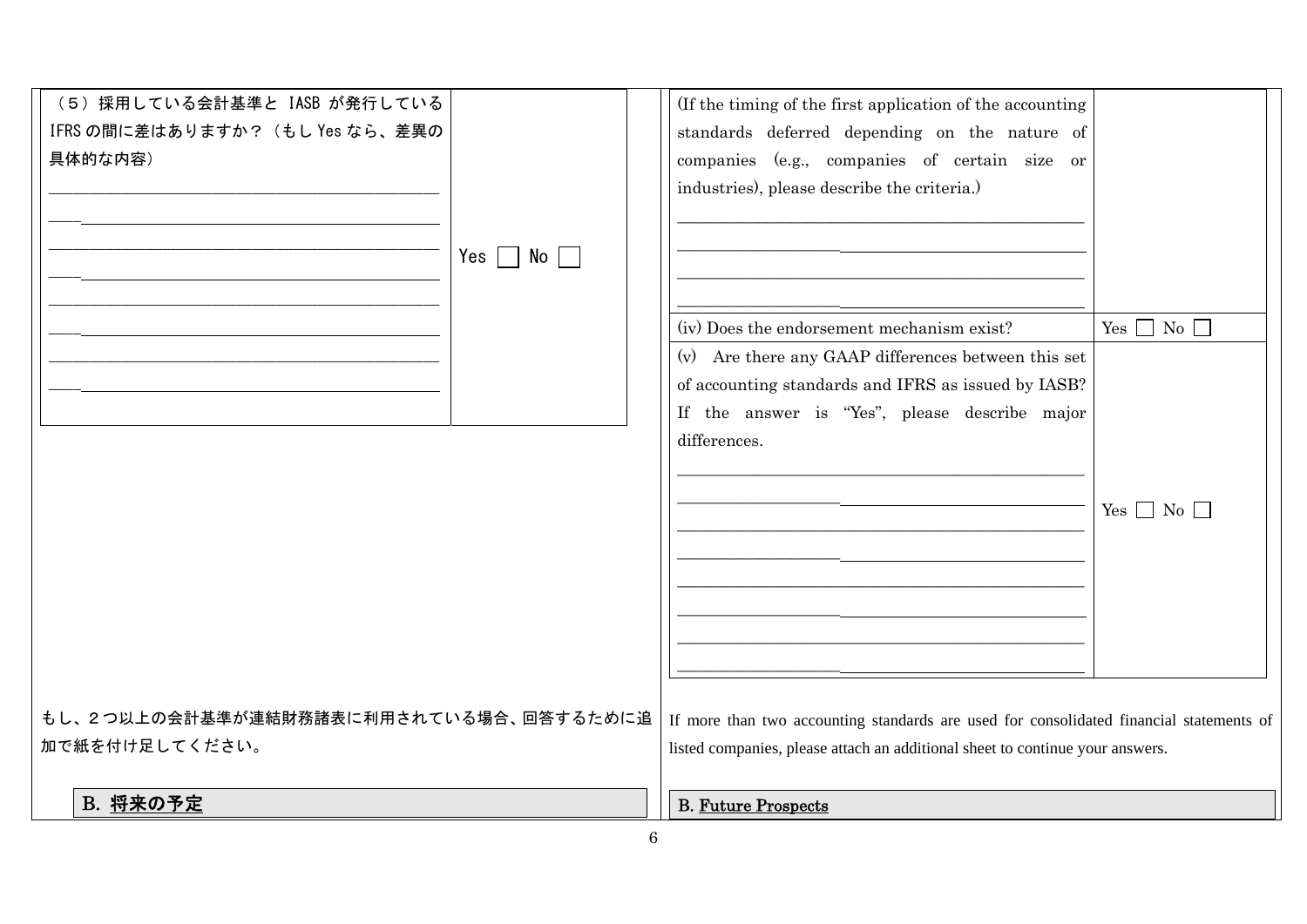| (5) 採用している会計基準と IASB が発行している<br>IFRS の間に差はありますか? (もし Yes なら、差異の<br>具体的な内容) | Yes $\Box$ No $\Box$ | (If the timing of the first application of the accounting<br>standards deferred depending on the nature of<br>companies (e.g., companies of certain size or<br>industries), please describe the criteria.) |                      |
|----------------------------------------------------------------------------|----------------------|------------------------------------------------------------------------------------------------------------------------------------------------------------------------------------------------------------|----------------------|
|                                                                            |                      | (iv) Does the endorsement mechanism exist?<br>(v) Are there any GAAP differences between this set<br>of accounting standards and IFRS as issued by IASB?                                                   | Yes $\Box$ No $\Box$ |
|                                                                            |                      | If the answer is "Yes", please describe major<br>differences.                                                                                                                                              | $Yes \Box No \Box$   |
| もし、2つ以上の会計基準が連結財務諸表に利用されている場合、回答するために追<br>加で紙を付け足してください。                   |                      | If more than two accounting standards are used for consolidated financial statements of<br>listed companies, please attach an additional sheet to continue your answers.                                   |                      |
| B. 将来の予定                                                                   |                      | <b>B. Future Prospects</b>                                                                                                                                                                                 |                      |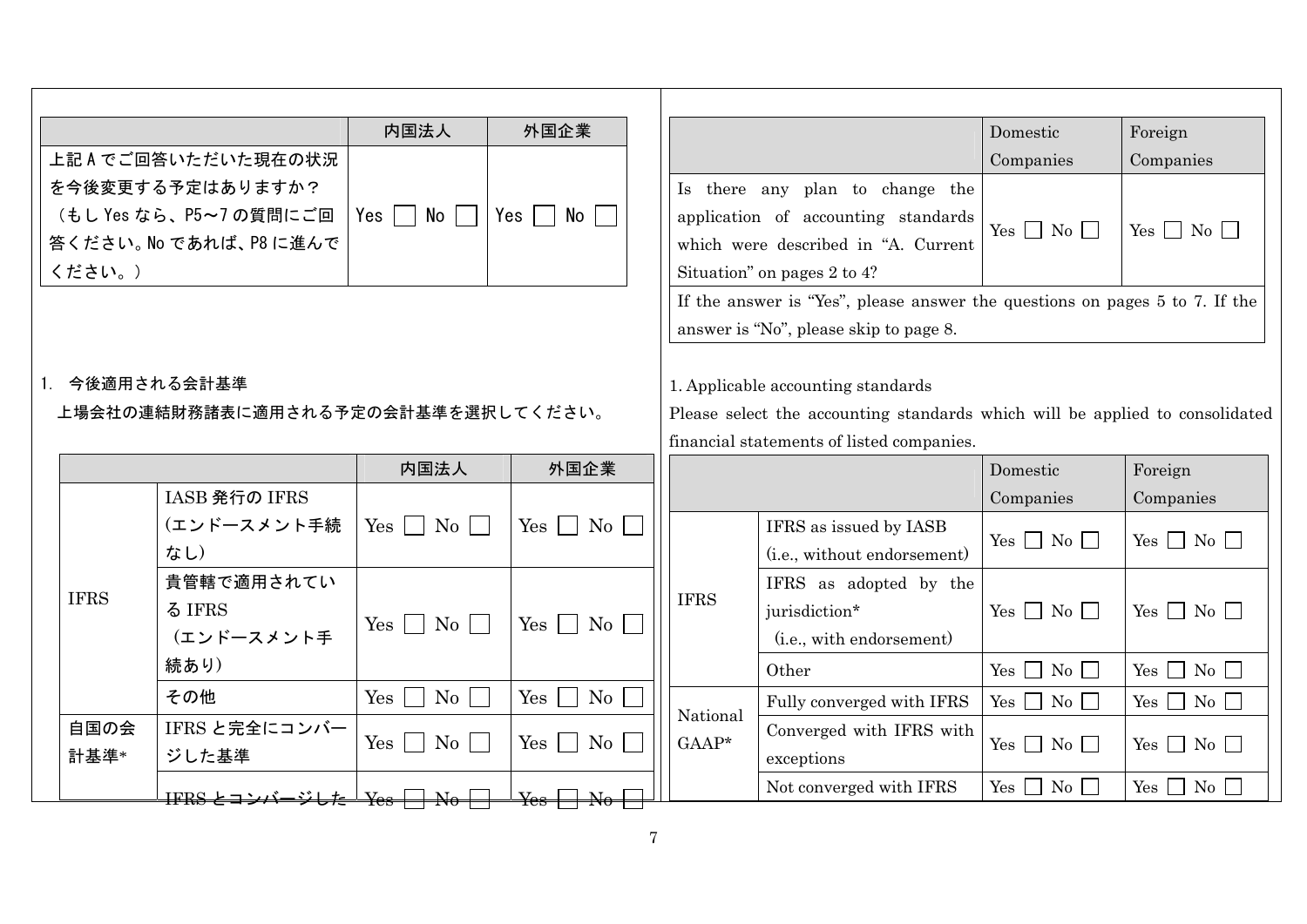|                                                      |                         | 内国法人                                                                                                                                                                                                                                                                                                      | 外国企業                      |                                                                                                                                                                 |                                                                             | Domestic               | Foreign                        |
|------------------------------------------------------|-------------------------|-----------------------------------------------------------------------------------------------------------------------------------------------------------------------------------------------------------------------------------------------------------------------------------------------------------|---------------------------|-----------------------------------------------------------------------------------------------------------------------------------------------------------------|-----------------------------------------------------------------------------|------------------------|--------------------------------|
|                                                      | 上記Aでご回答いただいた現在の状況       |                                                                                                                                                                                                                                                                                                           |                           |                                                                                                                                                                 |                                                                             | Companies              | Companies                      |
|                                                      | を今後変更する予定はありますか?        |                                                                                                                                                                                                                                                                                                           |                           |                                                                                                                                                                 | Is there any plan to change the                                             |                        |                                |
|                                                      | (もし Yes なら、P5~7の質問にご回   | Yes $\vert \ \ \vert$<br>No l                                                                                                                                                                                                                                                                             | No I<br>Yes I             |                                                                                                                                                                 | application of accounting standards                                         | Yes $\Box$ No $\Box$   | Yes $\Box$ No $\Box$           |
|                                                      | 答ください。 No であれば、 P8 に進んで |                                                                                                                                                                                                                                                                                                           |                           |                                                                                                                                                                 | which were described in "A. Current                                         |                        |                                |
| ください。)                                               |                         |                                                                                                                                                                                                                                                                                                           |                           |                                                                                                                                                                 | Situation" on pages 2 to 4?                                                 |                        |                                |
|                                                      |                         |                                                                                                                                                                                                                                                                                                           |                           |                                                                                                                                                                 | If the answer is "Yes", please answer the questions on pages 5 to 7. If the |                        |                                |
|                                                      |                         |                                                                                                                                                                                                                                                                                                           |                           |                                                                                                                                                                 | answer is "No", please skip to page 8.                                      |                        |                                |
| 1. 今後適用される会計基準<br>上場会社の連結財務諸表に適用される予定の会計基準を選択してください。 |                         |                                                                                                                                                                                                                                                                                                           |                           | 1. Applicable accounting standards<br>Please select the accounting standards which will be applied to consolidated<br>financial statements of listed companies. |                                                                             |                        |                                |
|                                                      |                         | 内国法人                                                                                                                                                                                                                                                                                                      | 外国企業                      |                                                                                                                                                                 |                                                                             | Domestic               | Foreign                        |
|                                                      | IASB 発行の IFRS           |                                                                                                                                                                                                                                                                                                           |                           |                                                                                                                                                                 |                                                                             | Companies              | Companies                      |
|                                                      | (エンドースメント手続<br>なし)      | $Yes \tNo \t$                                                                                                                                                                                                                                                                                             | $Yes \tNo$                |                                                                                                                                                                 | IFRS as issued by IASB<br>(i.e., without endorsement)                       | Yes $\Box$ No $\Box$   | $Yes \Box No \Box$             |
|                                                      | 貴管轄で適用されてい              |                                                                                                                                                                                                                                                                                                           |                           |                                                                                                                                                                 | IFRS as adopted by the                                                      |                        |                                |
| <b>IFRS</b>                                          | る IFRS                  |                                                                                                                                                                                                                                                                                                           |                           | <b>IFRS</b>                                                                                                                                                     | jurisdiction*                                                               | Yes $\Box$ No $\Box$   | $Yes \n\bigcap No \n\bigcap$   |
|                                                      | (エンドースメント手              | $Yes \mid No \mid$                                                                                                                                                                                                                                                                                        | $Yes \mid \mid No \mid$   |                                                                                                                                                                 | (i.e., with endorsement)                                                    |                        |                                |
|                                                      | 続あり)                    |                                                                                                                                                                                                                                                                                                           |                           |                                                                                                                                                                 | Other                                                                       | Yes $\Box$ No $\Box$   | $Yes \Box No \Box$             |
|                                                      | その他                     | $Yes \mid$<br>$\rm{No}$                                                                                                                                                                                                                                                                                   | Yes<br>No<br>$\mathbf{L}$ |                                                                                                                                                                 | Fully converged with IFRS                                                   | Yes $\Box$ No $\Box$   | $Yes \Box No \Box$             |
| 自国の会                                                 | IFRS と完全にコンバー           | $Yes \Box No \Box$                                                                                                                                                                                                                                                                                        | $Yes \nightharpoonup No$  | National<br>$GAAP*$                                                                                                                                             | Converged with IFRS with                                                    | $Yes \n\Box No \n\Box$ | $Yes \n\bigcap No \n\bigcap$   |
| 計基準*                                                 | ジした基準                   |                                                                                                                                                                                                                                                                                                           |                           |                                                                                                                                                                 | exceptions                                                                  |                        |                                |
|                                                      |                         | $\frac{1}{100}$ $\frac{1}{100}$ $\frac{1}{100}$ $\frac{1}{100}$ $\frac{1}{100}$ $\frac{1}{100}$ $\frac{1}{100}$ $\frac{1}{100}$ $\frac{1}{100}$ $\frac{1}{100}$ $\frac{1}{100}$ $\frac{1}{100}$ $\frac{1}{100}$ $\frac{1}{100}$ $\frac{1}{100}$ $\frac{1}{100}$ $\frac{1}{100}$ $\frac{1}{100}$ $\frac{1$ | $Y_{\rm{es}}$             |                                                                                                                                                                 | Not converged with IFRS                                                     | $Yes \Box No \Box$     | $\overline{N_0}$<br>$Yes \Box$ |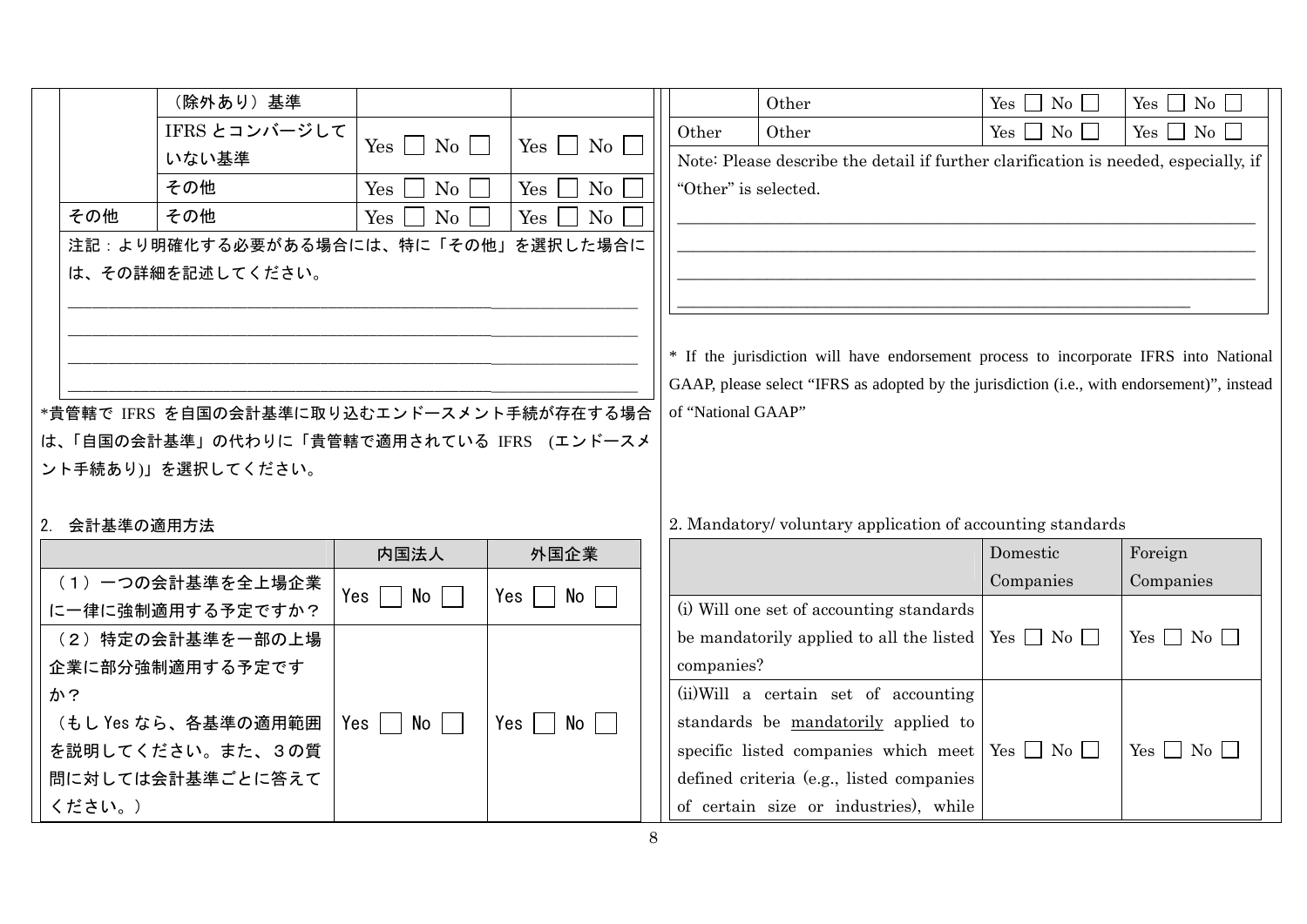|              | (除外あり)基準                                  |                                          |                           |                                                                                     | Other                                                                                       |  | Yes $\Box$ No $\Box$ | Yes $\Box$ No $\Box$         |  |  |
|--------------|-------------------------------------------|------------------------------------------|---------------------------|-------------------------------------------------------------------------------------|---------------------------------------------------------------------------------------------|--|----------------------|------------------------------|--|--|
|              | IFRS とコンバージして                             |                                          |                           | Other                                                                               | Other                                                                                       |  | $Yes \Box No \Box$   | $Yes \Box No \Box$           |  |  |
|              | いない基準                                     | Yes<br>$\mathrm{No}$                     | Yes<br>No                 | Note: Please describe the detail if further clarification is needed, especially, if |                                                                                             |  |                      |                              |  |  |
|              | その他                                       | Yes<br>No                                | No<br>Yes                 |                                                                                     | "Other" is selected.                                                                        |  |                      |                              |  |  |
| その他          | その他                                       | Yes<br>No                                | No<br>Yes                 |                                                                                     |                                                                                             |  |                      |                              |  |  |
|              | 注記:より明確化する必要がある場合には、特に「その他」を選択した場合に       |                                          |                           |                                                                                     |                                                                                             |  |                      |                              |  |  |
|              | は、その詳細を記述してください。                          |                                          |                           |                                                                                     |                                                                                             |  |                      |                              |  |  |
|              |                                           |                                          |                           |                                                                                     |                                                                                             |  |                      |                              |  |  |
|              |                                           |                                          |                           |                                                                                     |                                                                                             |  |                      |                              |  |  |
|              |                                           |                                          |                           |                                                                                     | * If the jurisdiction will have endorsement process to incorporate IFRS into National       |  |                      |                              |  |  |
|              |                                           |                                          |                           |                                                                                     | GAAP, please select "IFRS as adopted by the jurisdiction (i.e., with endorsement)", instead |  |                      |                              |  |  |
|              | *貴管轄で IFRS を自国の会計基準に取り込むエンドースメント手続が存在する場合 |                                          |                           |                                                                                     | of "National GAAP"                                                                          |  |                      |                              |  |  |
|              | は、「自国の会計基準」の代わりに「貴管轄で適用されている IFRS (エンドースメ |                                          |                           |                                                                                     |                                                                                             |  |                      |                              |  |  |
|              | ント手続あり)」を選択してください。                        |                                          |                           |                                                                                     |                                                                                             |  |                      |                              |  |  |
|              |                                           |                                          |                           |                                                                                     |                                                                                             |  |                      |                              |  |  |
| 2. 会計基準の適用方法 |                                           |                                          |                           |                                                                                     | 2. Mandatory/voluntary application of accounting standards                                  |  |                      |                              |  |  |
|              |                                           | 内国法人                                     | 外国企業                      |                                                                                     |                                                                                             |  | Domestic             | Foreign                      |  |  |
|              | (1) 一つの会計基準を全上場企業                         | $Yes \mid \mid No \mid$<br>$\mathcal{L}$ | $\vert$ No $\vert$<br>Yes |                                                                                     |                                                                                             |  | Companies            | Companies                    |  |  |
|              | に一律に強制適用する予定ですか?                          |                                          |                           |                                                                                     | (i) Will one set of accounting standards                                                    |  |                      |                              |  |  |
|              | (2) 特定の会計基準を一部の上場                         |                                          |                           |                                                                                     | be mandatorily applied to all the listed                                                    |  | $Yes \Box No \Box$   | $Yes \tNo \tN$               |  |  |
|              | 企業に部分強制適用する予定です                           |                                          |                           | companies?                                                                          |                                                                                             |  |                      |                              |  |  |
| か?           |                                           |                                          |                           |                                                                                     | (ii) Will a certain set of accounting                                                       |  |                      |                              |  |  |
|              | (もし Yes なら、各基準の適用範囲                       | $Yes \mid \mid No \mid \mid$             | Yes     No                |                                                                                     | standards be mandatorily applied to                                                         |  |                      |                              |  |  |
|              | を説明してください。また、3の質                          |                                          |                           |                                                                                     | specific listed companies which meet                                                        |  | $Yes \Box No \Box$   | $Yes \n\bigcap No \n\bigcap$ |  |  |
|              | 問に対しては会計基準ごとに答えて                          |                                          |                           |                                                                                     | defined criteria (e.g., listed companies                                                    |  |                      |                              |  |  |
| ください。)       |                                           |                                          |                           |                                                                                     | of certain size or industries), while                                                       |  |                      |                              |  |  |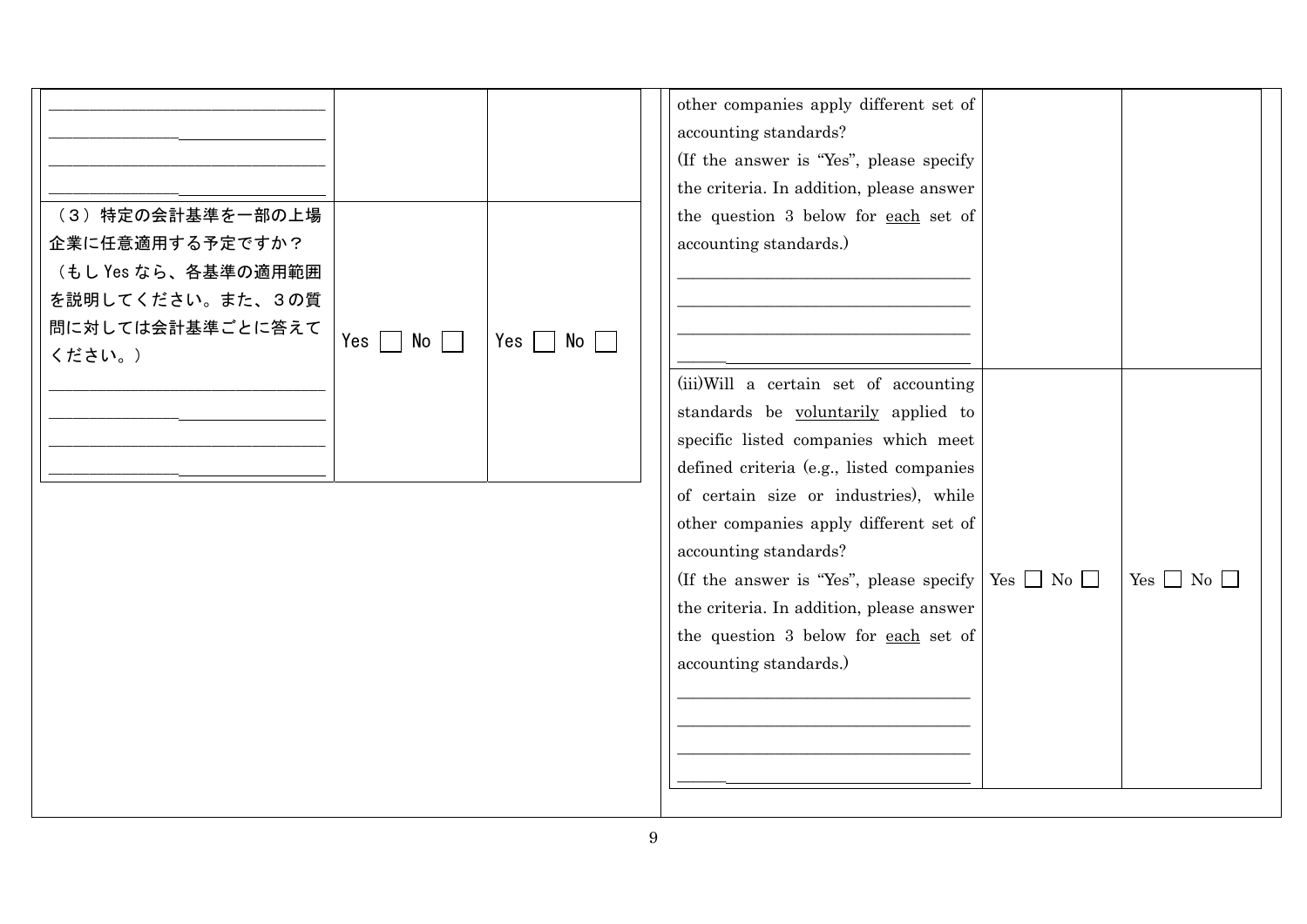| (3) 特定の会計基準を一部の上場<br>企業に任意適用する予定ですか?<br>(もし Yes なら、各基準の適用範囲<br>を説明してください。また、3の質<br>問に対しては会計基準ごとに答えて<br>ください。) | $Yes \mid \mid No \mid \mid$ | Yes<br>No | other companies apply different set of<br>accounting standards?<br>(If the answer is "Yes", please specify<br>the criteria. In addition, please answer<br>the question 3 below for each set of<br>accounting standards.)                                                                                                                                                                                                                                      |                      |
|---------------------------------------------------------------------------------------------------------------|------------------------------|-----------|---------------------------------------------------------------------------------------------------------------------------------------------------------------------------------------------------------------------------------------------------------------------------------------------------------------------------------------------------------------------------------------------------------------------------------------------------------------|----------------------|
|                                                                                                               |                              |           | (iii) Will a certain set of accounting<br>standards be voluntarily applied to<br>specific listed companies which meet<br>defined criteria (e.g., listed companies<br>of certain size or industries), while<br>other companies apply different set of<br>accounting standards?<br>(If the answer is "Yes", please specify   Yes $\Box$ No $\Box$<br>the criteria. In addition, please answer<br>the question 3 below for each set of<br>accounting standards.) | Yes $\Box$ No $\Box$ |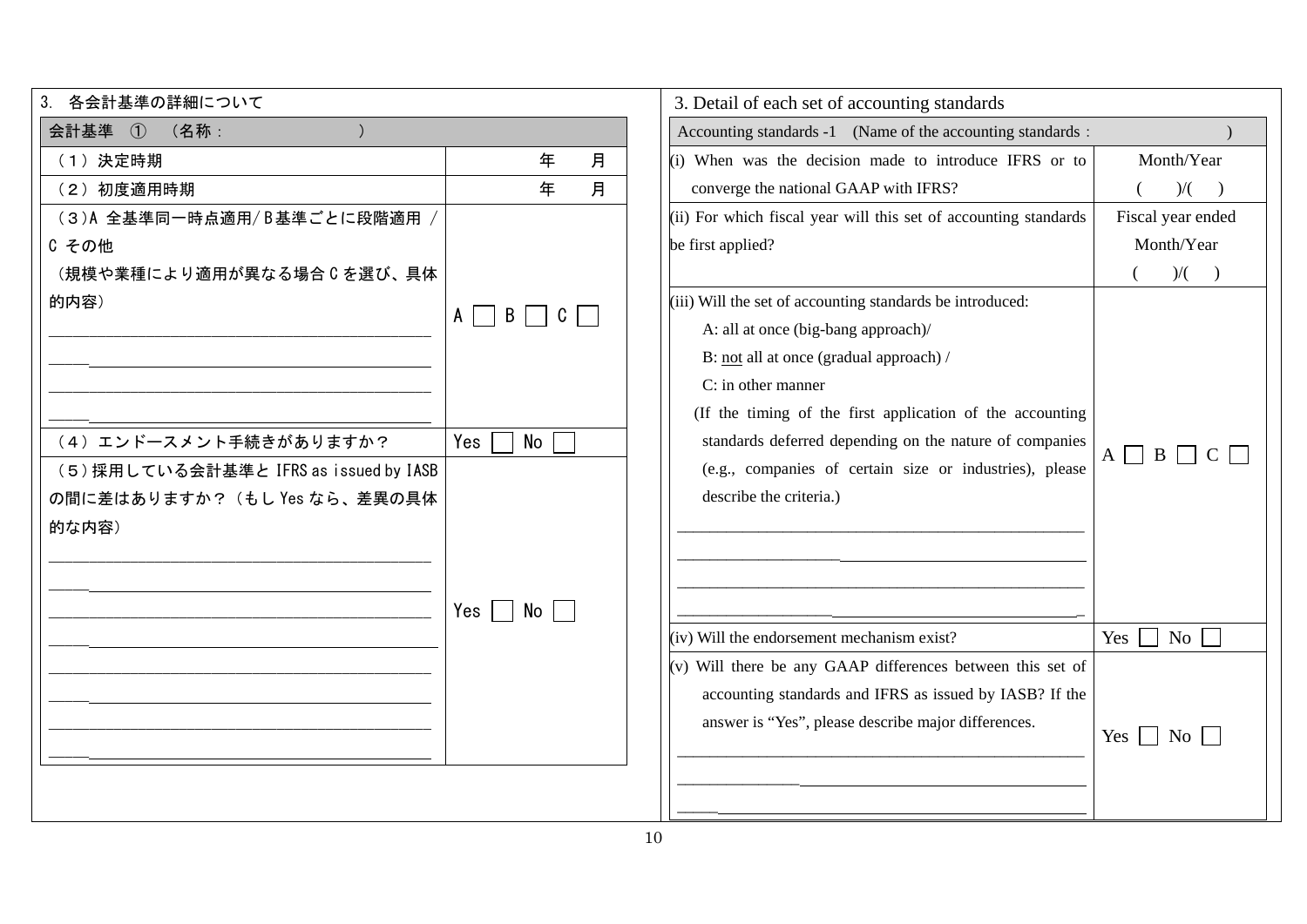| 3<br>各会計基準の詳細について                     |                     |         |   | 3. Detail of each set of accounting standards                    |                        |
|---------------------------------------|---------------------|---------|---|------------------------------------------------------------------|------------------------|
| $\mathcal{F}$<br>会計基準<br>(名称:         |                     |         |   | Accounting standards -1 (Name of the accounting standards:       |                        |
| (1) 決定時期                              |                     | 年       | 月 | (i) When was the decision made to introduce IFRS or to           | Month/Year             |
| (2) 初度適用時期                            |                     | 年       | 月 | converge the national GAAP with IFRS?                            | )/(                    |
| (3)A 全基準同一時点適用/B基準ごとに段階適用             |                     |         |   | (ii) For which fiscal year will this set of accounting standards | Fiscal year ended      |
| C その他                                 |                     |         |   | be first applied?                                                | Month/Year             |
| (規模や業種により適用が異なる場合 C を選び、具体            |                     |         |   |                                                                  | $)/($ )                |
| 的内容)                                  | A<br>$\blacksquare$ | B     C |   | (iii) Will the set of accounting standards be introduced:        |                        |
|                                       |                     |         |   | A: all at once (big-bang approach)/                              |                        |
|                                       |                     |         |   | B: not all at once (gradual approach) /                          |                        |
|                                       |                     |         |   | C: in other manner                                               |                        |
|                                       |                     |         |   | (If the timing of the first application of the accounting        |                        |
| (4) エンドースメント手続きがありますか?                | Yes<br>No           |         |   | standards deferred depending on the nature of companies          | $A \Box B \Box C \Box$ |
| (5)採用している会計基準と IFRS as issued by IASB |                     |         |   | (e.g., companies of certain size or industries), please          |                        |
| の間に差はありますか? (もし Yes なら、差異の具体          |                     |         |   | describe the criteria.)                                          |                        |
| 的な内容)                                 |                     |         |   |                                                                  |                        |
|                                       |                     |         |   |                                                                  |                        |
|                                       |                     |         |   |                                                                  |                        |
|                                       | Yes                 | No      |   |                                                                  |                        |
|                                       |                     |         |   | (iv) Will the endorsement mechanism exist?                       | Yes $\Box$<br>No       |
|                                       |                     |         |   | $(v)$ Will there be any GAAP differences between this set of     |                        |
|                                       |                     |         |   | accounting standards and IFRS as issued by IASB? If the          |                        |
|                                       |                     |         |   | answer is "Yes", please describe major differences.              | $Yes \Box No \Box$     |
|                                       |                     |         |   |                                                                  |                        |
|                                       |                     |         |   |                                                                  |                        |
|                                       |                     |         |   |                                                                  |                        |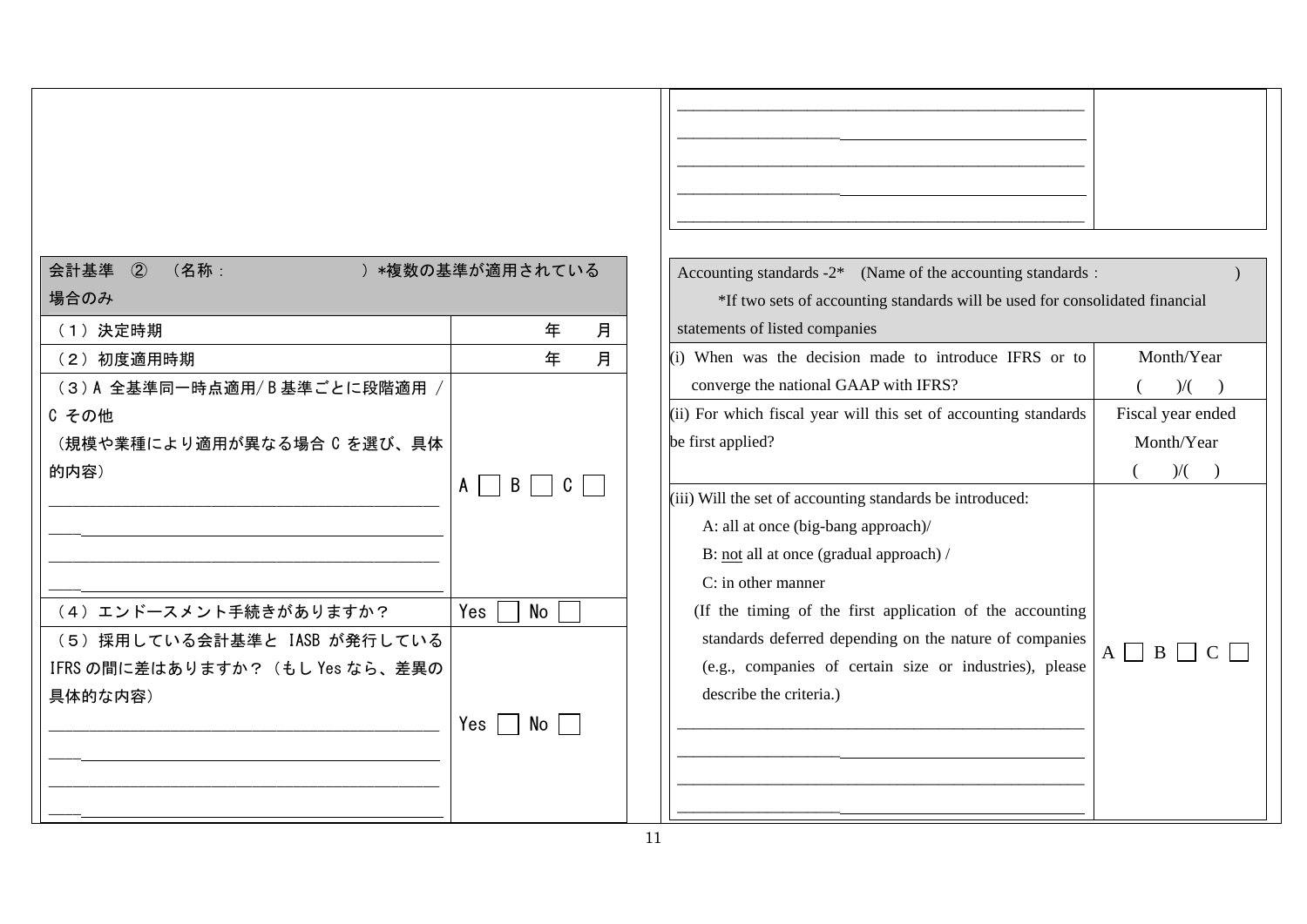| 会計基準 2<br>(名称:<br>) *複数の基準が適用されている<br>Accounting standards $-2^*$ (Name of the accounting standards :<br>場合のみ<br>*If two sets of accounting standards will be used for consolidated financial |     |
|-----------------------------------------------------------------------------------------------------------------------------------------------------------------------------------------------|-----|
| 月<br>年<br>statements of listed companies<br>(1) 決定時期                                                                                                                                          |     |
| Month/Year<br>月<br>(i) When was the decision made to introduce IFRS or to<br>年<br>(2) 初度適用時期                                                                                                  |     |
| converge the national GAAP with IFRS?<br>(3)A 全基準同一時点適用/B基準ごとに段階適用 /                                                                                                                          | )/( |
| (ii) For which fiscal year will this set of accounting standards<br>Fiscal year ended<br>C その他                                                                                                |     |
| Month/Year<br>be first applied?<br>(規模や業種により適用が異なる場合 C を選び、具体                                                                                                                                 |     |
| $)/($ $)$<br>的内容)                                                                                                                                                                             |     |
| $\vert$ B<br>$A \mid \cdot$<br>(iii) Will the set of accounting standards be introduced:                                                                                                      |     |
| A: all at once (big-bang approach)/                                                                                                                                                           |     |
| B: not all at once (gradual approach) /                                                                                                                                                       |     |
| C: in other manner                                                                                                                                                                            |     |
| (4) エンドースメント手続きがありますか?<br>(If the timing of the first application of the accounting<br>Yes<br>No                                                                                              |     |
| standards deferred depending on the nature of companies<br>(5) 採用している会計基準と IASB が発行している                                                                                                       |     |
| $A \Box B \Box C \Box$<br>(e.g., companies of certain size or industries), please<br>IFRS の間に差はありますか? (もし Yes なら、差異の                                                                          |     |
| describe the criteria.)<br>具体的な内容)                                                                                                                                                            |     |
| Yes<br>No                                                                                                                                                                                     |     |
|                                                                                                                                                                                               |     |
|                                                                                                                                                                                               |     |
|                                                                                                                                                                                               |     |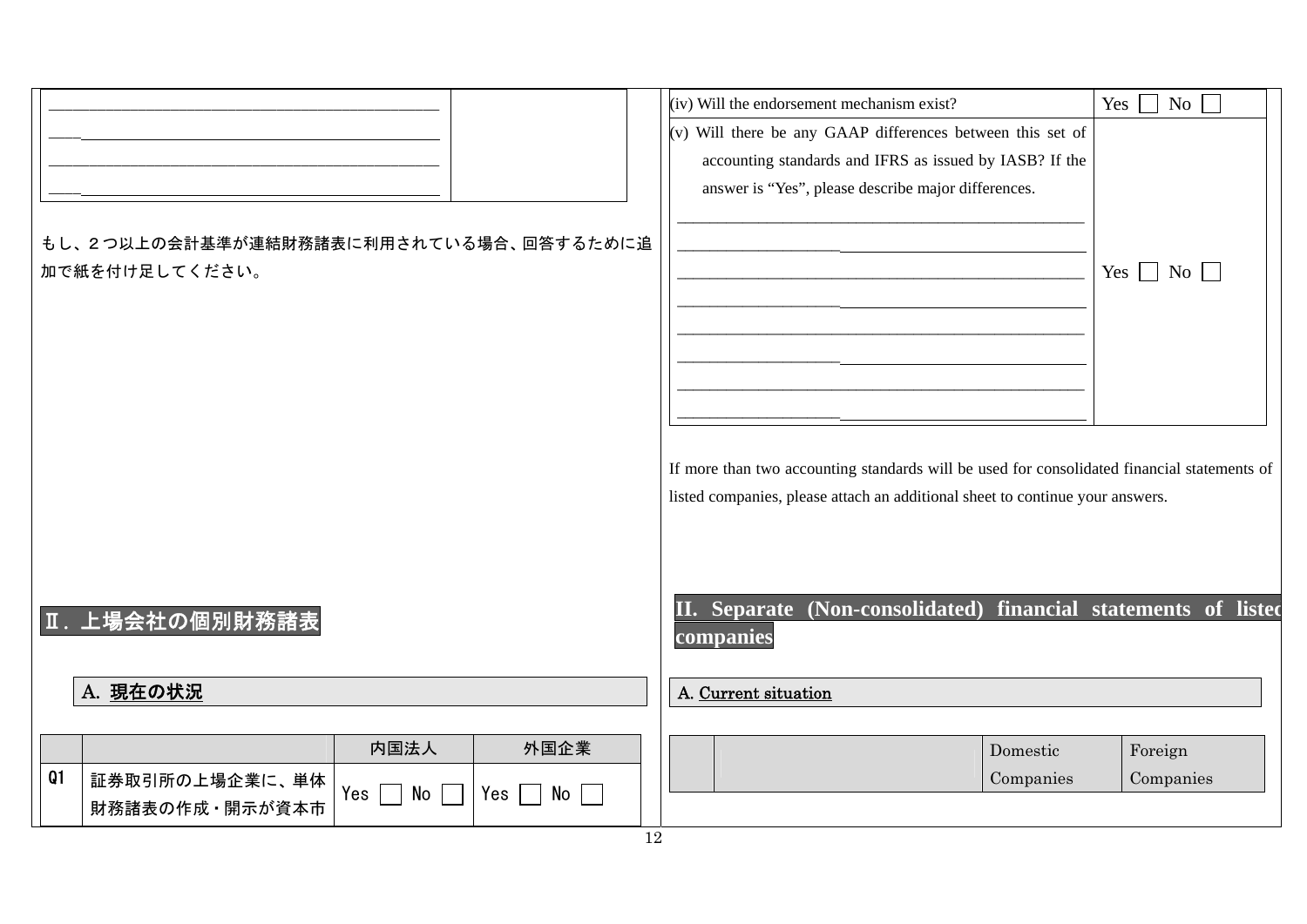| もし、2つ以上の会計基準が連結財務諸表に利用されている場合、回答するために追<br>加で紙を付け足してください。                                                                 | (iv) Will the endorsement mechanism exist?<br>(v) Will there be any GAAP differences between this set of<br>accounting standards and IFRS as issued by IASB? If the<br>answer is "Yes", please describe major differences. | Yes<br>$\overline{N_0}$<br>Yes $\Box$ No $\Box$ |
|--------------------------------------------------------------------------------------------------------------------------|----------------------------------------------------------------------------------------------------------------------------------------------------------------------------------------------------------------------------|-------------------------------------------------|
|                                                                                                                          | If more than two accounting standards will be used for consolidated financial statements of<br>listed companies, please attach an additional sheet to continue your answers.                                               |                                                 |
| Ⅱ. 上場会社の個別財務諸表<br>A. 現在の状況                                                                                               | II. Separate (Non-consolidated) financial statements of listed<br>companies<br>A. Current situation                                                                                                                        |                                                 |
| 内国法人<br>外国企業<br>Q1<br>証券取引所の上場企業に、単体<br>Yes $\Box$<br>No<br>Yes  <br>$\mathsf{No} \; \sqcup$<br>$\sim$<br>財務諸表の作成·開示が資本市 | Domestic<br>Companies                                                                                                                                                                                                      | Foreign<br>Companies                            |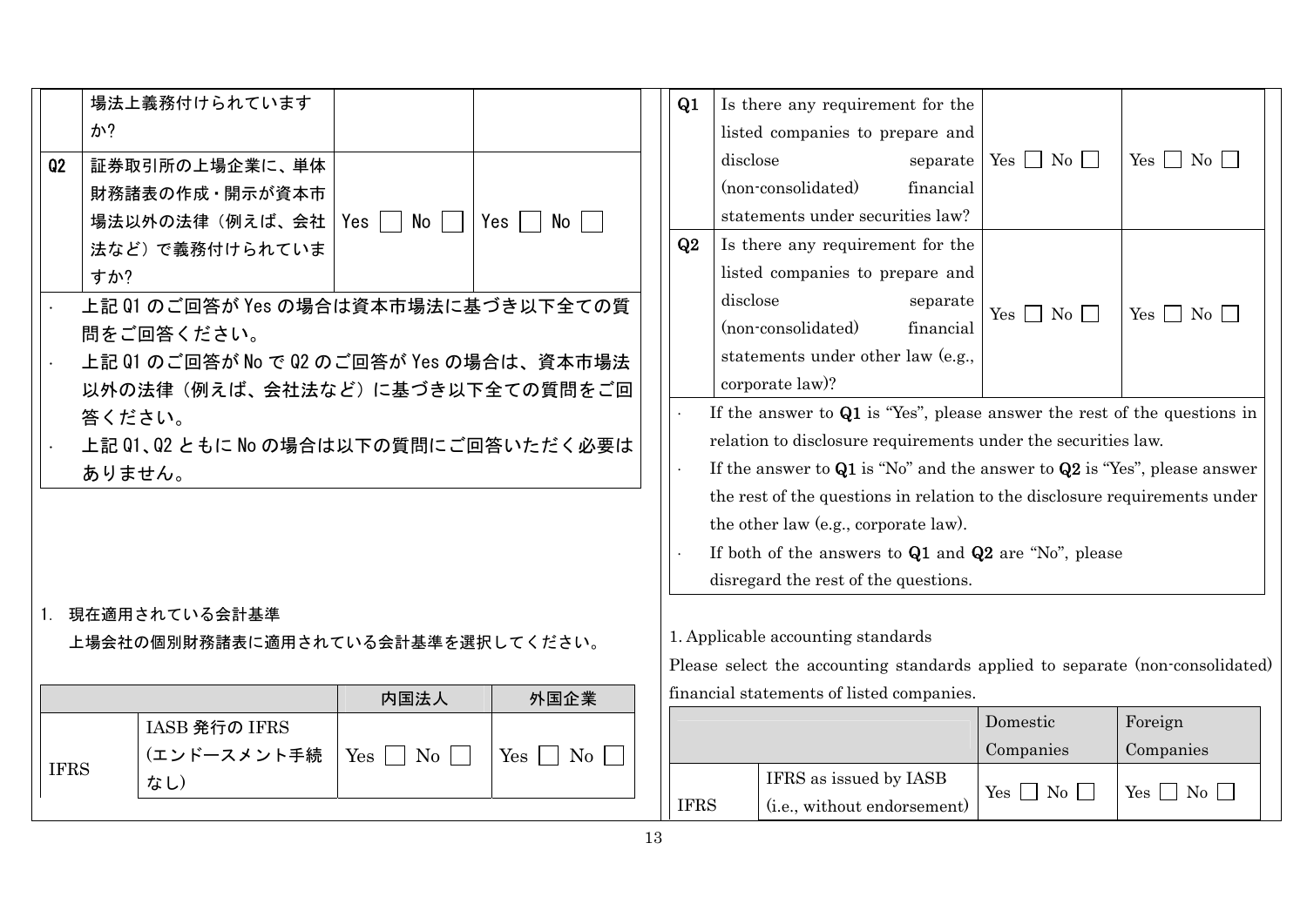|             | 場法上義務付けられています                            |                      |                                                                            | Q1                                                                           | Is there any requirement for the                                              |           |                      |                        |
|-------------|------------------------------------------|----------------------|----------------------------------------------------------------------------|------------------------------------------------------------------------------|-------------------------------------------------------------------------------|-----------|----------------------|------------------------|
|             | か?                                       |                      |                                                                            |                                                                              | listed companies to prepare and                                               |           |                      |                        |
| Q2          | 証券取引所の上場企業に、単体                           |                      |                                                                            |                                                                              | disclose                                                                      | separate  | Yes $\Box$ No $\Box$ | $Yes \Box No \Box$     |
|             | 財務諸表の作成·開示が資本市                           |                      |                                                                            |                                                                              | (non-consolidated)                                                            | financial |                      |                        |
|             | 場法以外の法律(例えば、会社                           | Yes $\Box$ No $\Box$ | Yes  <br>No I                                                              |                                                                              | statements under securities law?                                              |           |                      |                        |
|             | 法など)で義務付けられていま                           |                      |                                                                            | Q2                                                                           | Is there any requirement for the                                              |           |                      |                        |
|             | すか?                                      |                      |                                                                            |                                                                              | listed companies to prepare and                                               |           |                      |                        |
|             | 上記 01 のご回答が Yes の場合は資本市場法に基づき以下全ての質      |                      |                                                                            |                                                                              | disclose                                                                      | separate  | Yes $\Box$ No $\Box$ | Yes $\Box$ No $\Box$   |
|             | 問をご回答ください。                               |                      |                                                                            |                                                                              | (non-consolidated)                                                            | financial |                      |                        |
|             | 上記 Q1 のご回答が No で Q2 のご回答が Yes の場合は、資本市場法 |                      |                                                                            |                                                                              | statements under other law (e.g.,                                             |           |                      |                        |
|             | 以外の法律(例えば、会社法など)に基づき以下全ての質問をご回           |                      |                                                                            |                                                                              | corporate law)?                                                               |           |                      |                        |
| 答ください。      |                                          |                      | If the answer to $Q1$ is "Yes", please answer the rest of the questions in |                                                                              |                                                                               |           |                      |                        |
|             | 上記 Q1、Q2 ともに No の場合は以下の質問にご回答いただく必要は     |                      |                                                                            | relation to disclosure requirements under the securities law.                |                                                                               |           |                      |                        |
|             | ありません。                                   |                      |                                                                            | If the answer to $Q1$ is "No" and the answer to $Q2$ is "Yes", please answer |                                                                               |           |                      |                        |
|             |                                          |                      |                                                                            |                                                                              | the rest of the questions in relation to the disclosure requirements under    |           |                      |                        |
|             |                                          |                      |                                                                            |                                                                              | the other law (e.g., corporate law).                                          |           |                      |                        |
|             |                                          |                      |                                                                            | If both of the answers to $Q1$ and $Q2$ are "No", please                     |                                                                               |           |                      |                        |
|             |                                          |                      |                                                                            |                                                                              | disregard the rest of the questions.                                          |           |                      |                        |
|             | 1. 現在適用されている会計基準                         |                      |                                                                            |                                                                              |                                                                               |           |                      |                        |
|             | 上場会社の個別財務諸表に適用されている会計基準を選択してください。        |                      |                                                                            |                                                                              | 1. Applicable accounting standards                                            |           |                      |                        |
|             |                                          |                      |                                                                            |                                                                              | Please select the accounting standards applied to separate (non-consolidated) |           |                      |                        |
|             |                                          | 内国法人                 | 外国企業                                                                       |                                                                              | financial statements of listed companies.                                     |           |                      |                        |
|             | IASB 発行の IFRS                            |                      |                                                                            |                                                                              |                                                                               |           | Domestic             | Foreign                |
|             | (エンドースメント手続                              | $Yes \Box No \Box$   | $Yes \n\bigcap No \n\bigcap$                                               |                                                                              |                                                                               |           | Companies            | Companies              |
| <b>IFRS</b> | なし)                                      |                      |                                                                            |                                                                              | IFRS as issued by IASB                                                        |           | $Yes \t No \t$       | $Yes \n\Box No \n\Box$ |
|             |                                          |                      |                                                                            | <b>IFRS</b>                                                                  | (i.e., without endorsement)                                                   |           |                      |                        |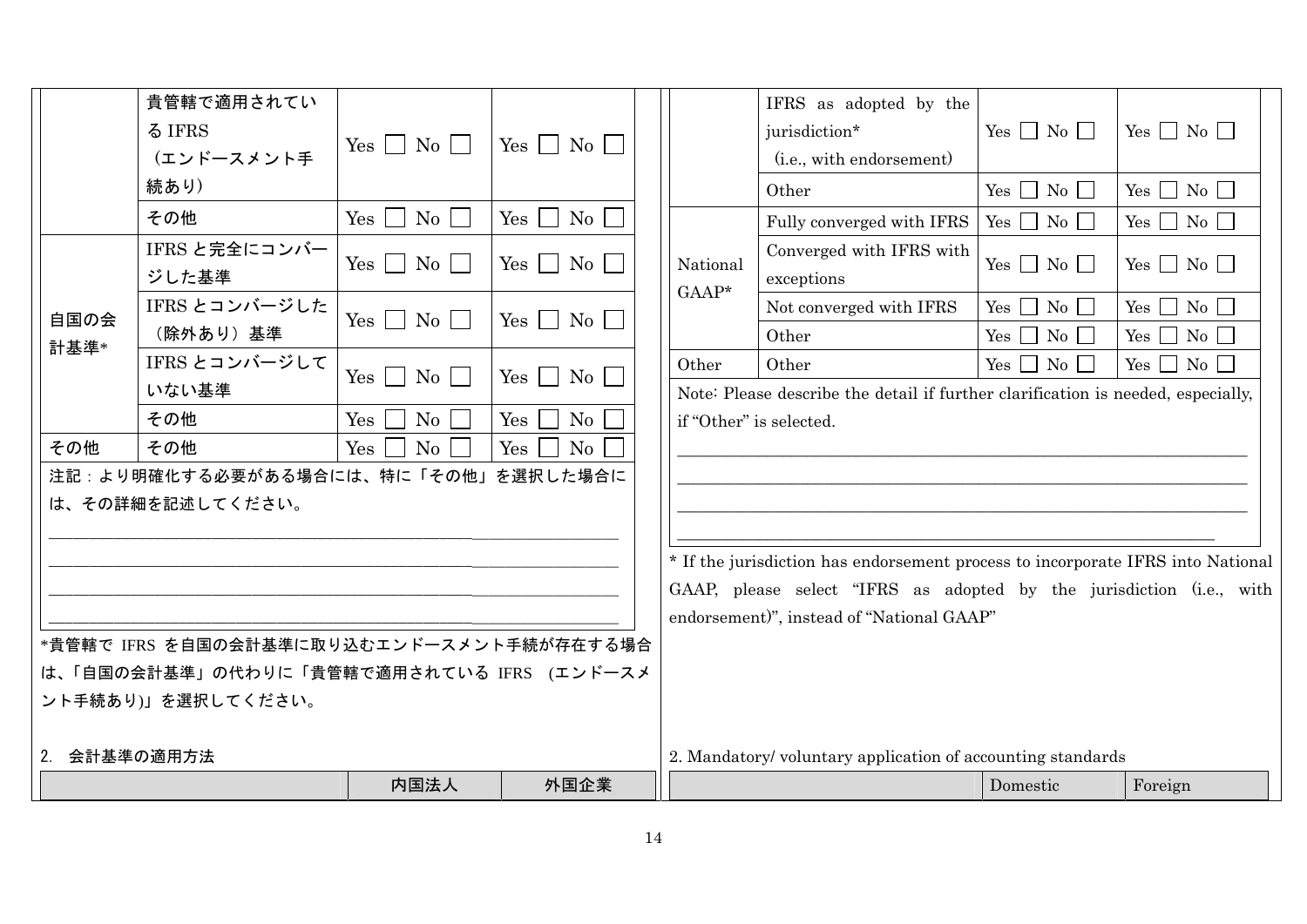|              |                                                         | 内国法人                        | 外国企業                         |  |                         |                                                                                  | Domestic                        | Foreign              |
|--------------|---------------------------------------------------------|-----------------------------|------------------------------|--|-------------------------|----------------------------------------------------------------------------------|---------------------------------|----------------------|
| 2. 会計基準の適用方法 |                                                         |                             |                              |  |                         | 2. Mandatory/voluntary application of accounting standards                       |                                 |                      |
|              | ント手続あり)」を選択してください。                                      |                             |                              |  |                         |                                                                                  |                                 |                      |
|              | は、「自国の会計基準」の代わりに「貴管轄で適用されている IFRS (エンドースメ               |                             |                              |  |                         |                                                                                  |                                 |                      |
|              | *貴管轄で IFRS を自国の会計基準に取り込むエンドースメント手続が存在する場合               |                             |                              |  |                         |                                                                                  |                                 |                      |
|              |                                                         |                             |                              |  |                         | endorsement)", instead of "National GAAP"                                        |                                 |                      |
|              |                                                         |                             |                              |  |                         | GAAP, please select "IFRS as adopted by the jurisdiction (i.e., with             |                                 |                      |
|              |                                                         |                             |                              |  |                         | * If the jurisdiction has endorsement process to incorporate IFRS into National  |                                 |                      |
|              |                                                         |                             |                              |  |                         |                                                                                  |                                 |                      |
|              | 注記:より明確化する必要がある場合には、特に「その他」を選択した場合に<br>は、その詳細を記述してください。 |                             |                              |  |                         |                                                                                  |                                 |                      |
| その他          | その他                                                     | No<br>Yes                   | Yes<br>$\rm No$              |  |                         |                                                                                  |                                 |                      |
|              | その他                                                     | No<br>Yes                   | $Yes \mid$<br>No             |  | if "Other" is selected. |                                                                                  |                                 |                      |
|              | いない基準                                                   |                             |                              |  |                         | Note: Please describe the detail if further clarification is needed, especially, |                                 |                      |
|              | IFRS とコンバージして                                           | $Yes \mid No \mid$          | $Yes \bigsqcup No \bigsqcup$ |  | Other                   | Other                                                                            | $\rm No$ $\Box$<br>$Yes$ $\Box$ | Yes $\Box$ No $\Box$ |
| 計基準*         | (除外あり)基準                                                |                             |                              |  |                         | Other                                                                            | $\overline{N_0}$<br>Yes         | $Yes \Box No \Box$   |
| 自国の会         | IFRS とコンバージした                                           | $Yes \mid No \mid$          | $Yes \mid \mid No \mid$      |  | National<br>$GAAP*$     | Not converged with IFRS                                                          | $Yes \n\bigcap No \n\bigcap$    | Yes $\Box$ No $\Box$ |
|              | ジした基準                                                   |                             |                              |  |                         | exceptions                                                                       | $Yes \Box No \Box$              | Yes $\Box$ No $\Box$ |
|              | IFRS と完全にコンバー                                           | $Yes \mid No \mid$          | $Yes \mid \mid No \mid$      |  |                         | Converged with IFRS with                                                         |                                 |                      |
|              | その他                                                     | $Yes \mid$<br>$\mathrm{No}$ | $Yes \nightharpoonup No$     |  |                         | Fully converged with IFRS                                                        | Yes $\Box$ No $\Box$            | Yes $\Box$ No $\Box$ |
|              | 続あり)                                                    |                             |                              |  |                         | Other                                                                            | $Yes \Box No \Box$              | $Yes \Box No \Box$   |
|              | (エンドースメント手                                              | $Yes \mid No \mid$          | $Yes \mid \mid No \mid$      |  |                         | (i.e., with endorsement)                                                         |                                 |                      |
|              | る IFRS                                                  |                             |                              |  |                         | jurisdiction*                                                                    | Yes $\Box$ No $\Box$            | $Yes \tNo \tN$       |
|              | 貴管轄で適用されてい                                              |                             |                              |  |                         | IFRS as adopted by the                                                           |                                 |                      |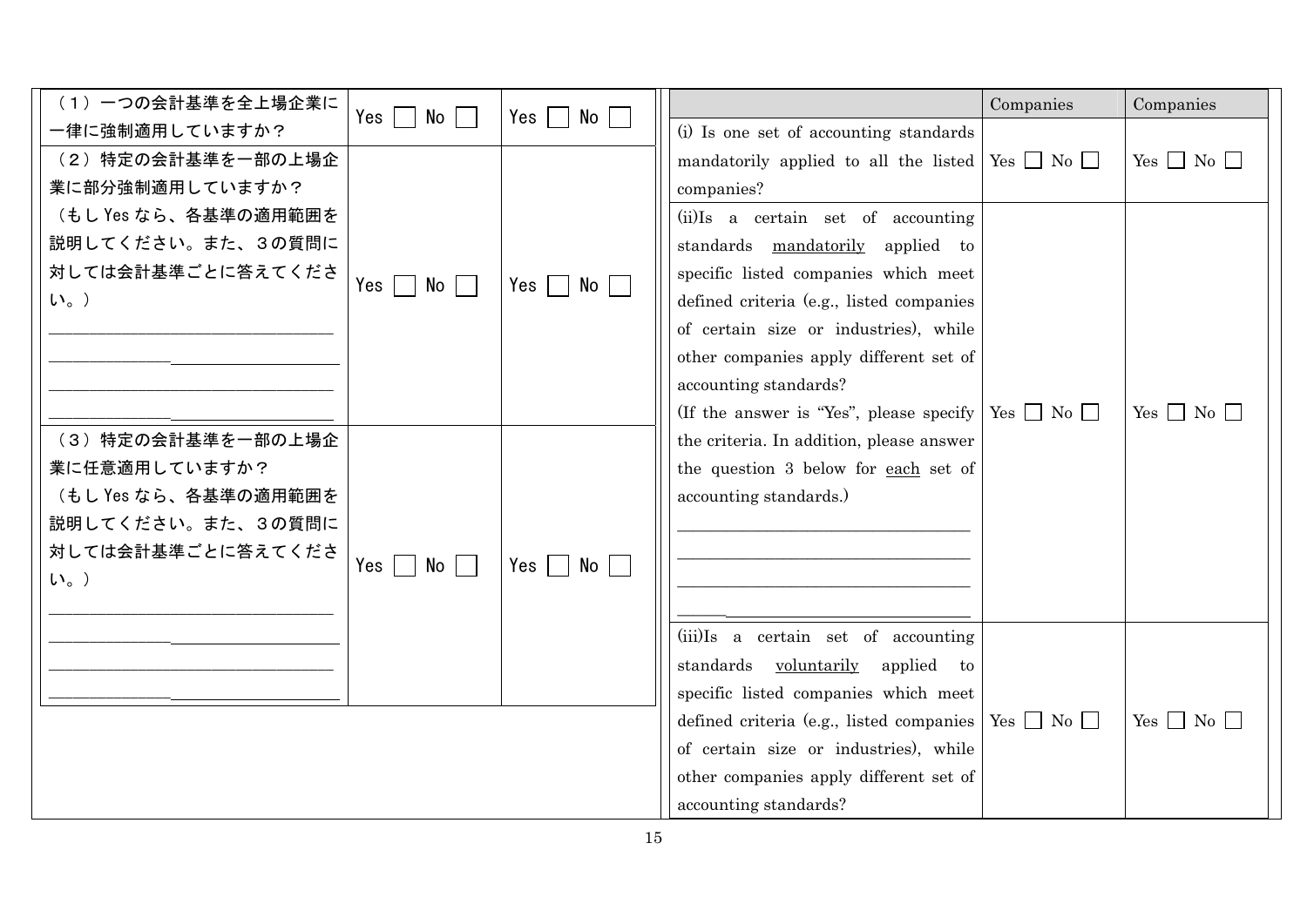| (1) 一つの会計基準を全上場企業に   | No                       | No              |                                                                        | Companies | Companies            |
|----------------------|--------------------------|-----------------|------------------------------------------------------------------------|-----------|----------------------|
| 一律に強制適用していますか?       | Yes $ $<br>$\mathcal{L}$ | $Yes \mid \mid$ | (i) Is one set of accounting standards                                 |           |                      |
| (2) 特定の会計基準を一部の上場企   |                          |                 | mandatorily applied to all the listed $\sqrt{Y_{es}}$ $\Box$ No $\Box$ |           | Yes $\Box$ No $\Box$ |
| 業に部分強制適用していますか?      |                          |                 | companies?                                                             |           |                      |
| (もし Yes なら、各基準の適用範囲を |                          |                 | (ii)Is a certain set of accounting                                     |           |                      |
| 説明してください。また、3の質問に    |                          |                 | standards mandatorily applied to                                       |           |                      |
| 対しては会計基準ごとに答えてくださ    |                          |                 | specific listed companies which meet                                   |           |                      |
| $U_0$ )              | Yes '<br>$No$            | Yes  <br>No     | defined criteria (e.g., listed companies                               |           |                      |
|                      |                          |                 | of certain size or industries), while                                  |           |                      |
|                      |                          |                 | other companies apply different set of                                 |           |                      |
|                      |                          |                 | accounting standards?                                                  |           |                      |
|                      |                          |                 | (If the answer is "Yes", please specify   Yes $\Box$ No $\Box$         |           | Yes $\Box$ No $\Box$ |
| (3) 特定の会計基準を一部の上場企   |                          |                 | the criteria. In addition, please answer                               |           |                      |
| 業に任意適用していますか?        |                          |                 | the question 3 below for each set of                                   |           |                      |
| (もし Yes なら、各基準の適用範囲を |                          |                 | accounting standards.)                                                 |           |                      |
| 説明してください。また、3の質問に    |                          |                 |                                                                        |           |                      |
| 対しては会計基準ごとに答えてくださ    |                          |                 |                                                                        |           |                      |
| $U_0$ )              | Yes<br>$No$              | Yes I<br>No     |                                                                        |           |                      |
|                      |                          |                 |                                                                        |           |                      |
|                      |                          |                 | (iii)Is a certain set of accounting                                    |           |                      |
|                      |                          |                 | standards voluntarily applied to                                       |           |                      |
|                      |                          |                 | specific listed companies which meet                                   |           |                      |
|                      |                          |                 | defined criteria (e.g., listed companies   Yes $\Box$ No $\Box$        |           | Yes $\Box$ No $\Box$ |
|                      |                          |                 | of certain size or industries), while                                  |           |                      |
|                      |                          |                 | other companies apply different set of                                 |           |                      |
|                      |                          |                 | accounting standards?                                                  |           |                      |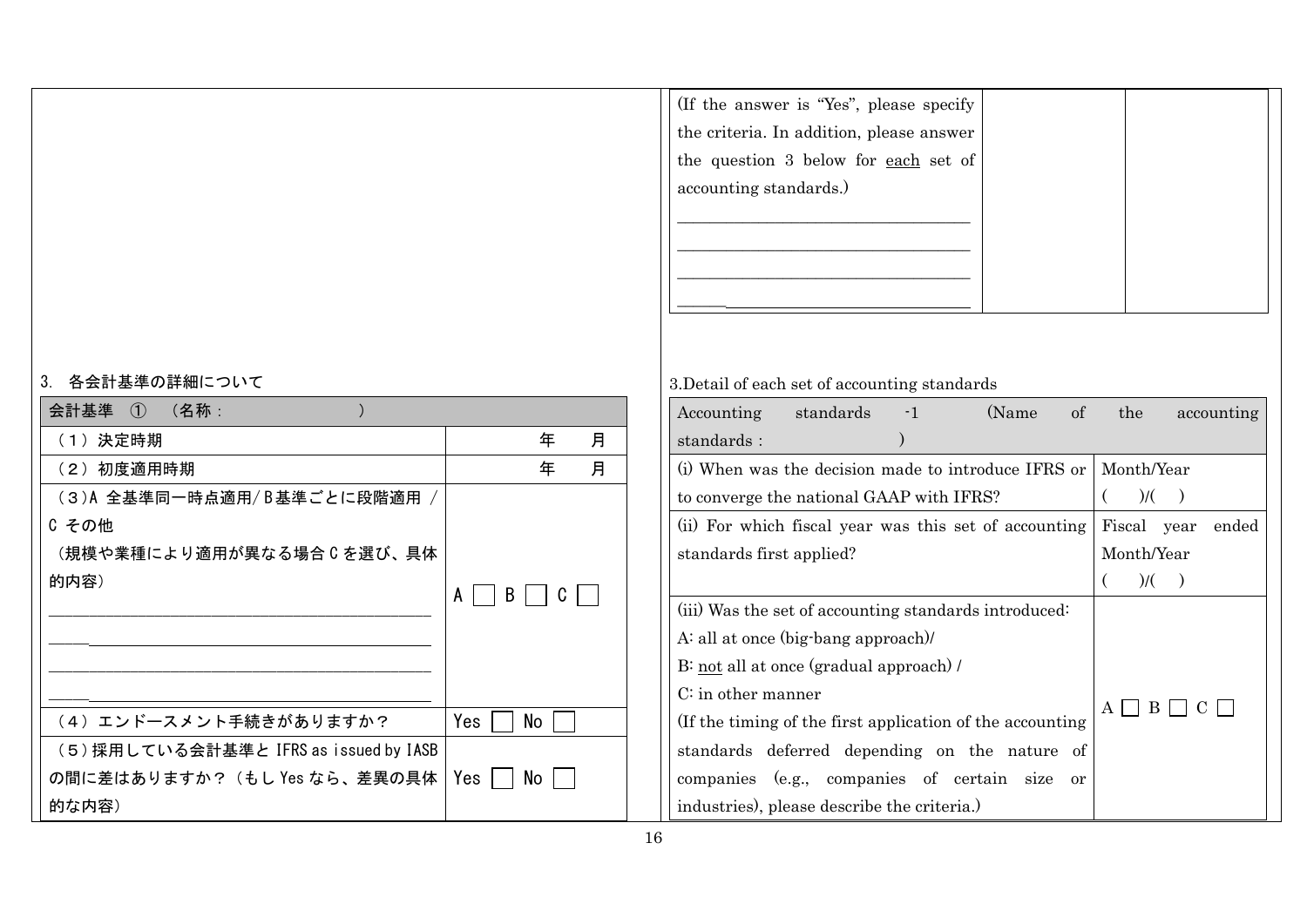| If the answer is "Yes", please specify<br>the criteria. In addition, please answer<br>the question 3 below for each set of |  |
|----------------------------------------------------------------------------------------------------------------------------|--|
| accounting standards.)                                                                                                     |  |

## 3. 各会計基準の詳細について

| 会計基準 ① (名称:                            |             |
|----------------------------------------|-------------|
| (1) 決定時期                               | 年<br>月      |
| (2) 初度適用時期                             | 月<br>年      |
| (3)A 全基準同一時点適用/B基準ごとに段階適用              |             |
| C その他                                  |             |
| (規模や業種により適用が異なる場合 C を選び、具体             |             |
| 的内容)                                   | B<br>C<br>A |
|                                        |             |
|                                        |             |
|                                        |             |
|                                        |             |
| (4) エンドースメント手続きがありますか?                 | No<br>Yes   |
| (5) 採用している会計基準と IFRS as issued by IASB |             |
| の間に差はありますか? (もし Yes なら、差異の具体           | Yes<br>No   |
| 的な内容)                                  |             |

## 3.Detail of each set of accounting standards

| (Name of the<br>Accounting standards<br>$\ddot{\hspace{1cm}}$ -1 | accounting           |
|------------------------------------------------------------------|----------------------|
| standards:                                                       |                      |
| (i) When was the decision made to introduce IFRS or              | Month/Year           |
| to converge the national GAAP with IFRS?                         | )/(                  |
| (ii) For which fiscal year was this set of accounting            | Fiscal year<br>ended |
| standards first applied?                                         | Month/Year           |
|                                                                  | )/(                  |
| (iii) Was the set of accounting standards introduced:            |                      |
| A: all at once (big-bang approach)/                              |                      |
| B: not all at once (gradual approach) /                          |                      |
| $Ci$ in other manner                                             |                      |
| If the timing of the first application of the accounting         | A<br>B               |
| standards deferred depending on the nature of                    |                      |
| companies (e.g., companies of certain size<br>or                 |                      |
| industries), please describe the criteria.)                      |                      |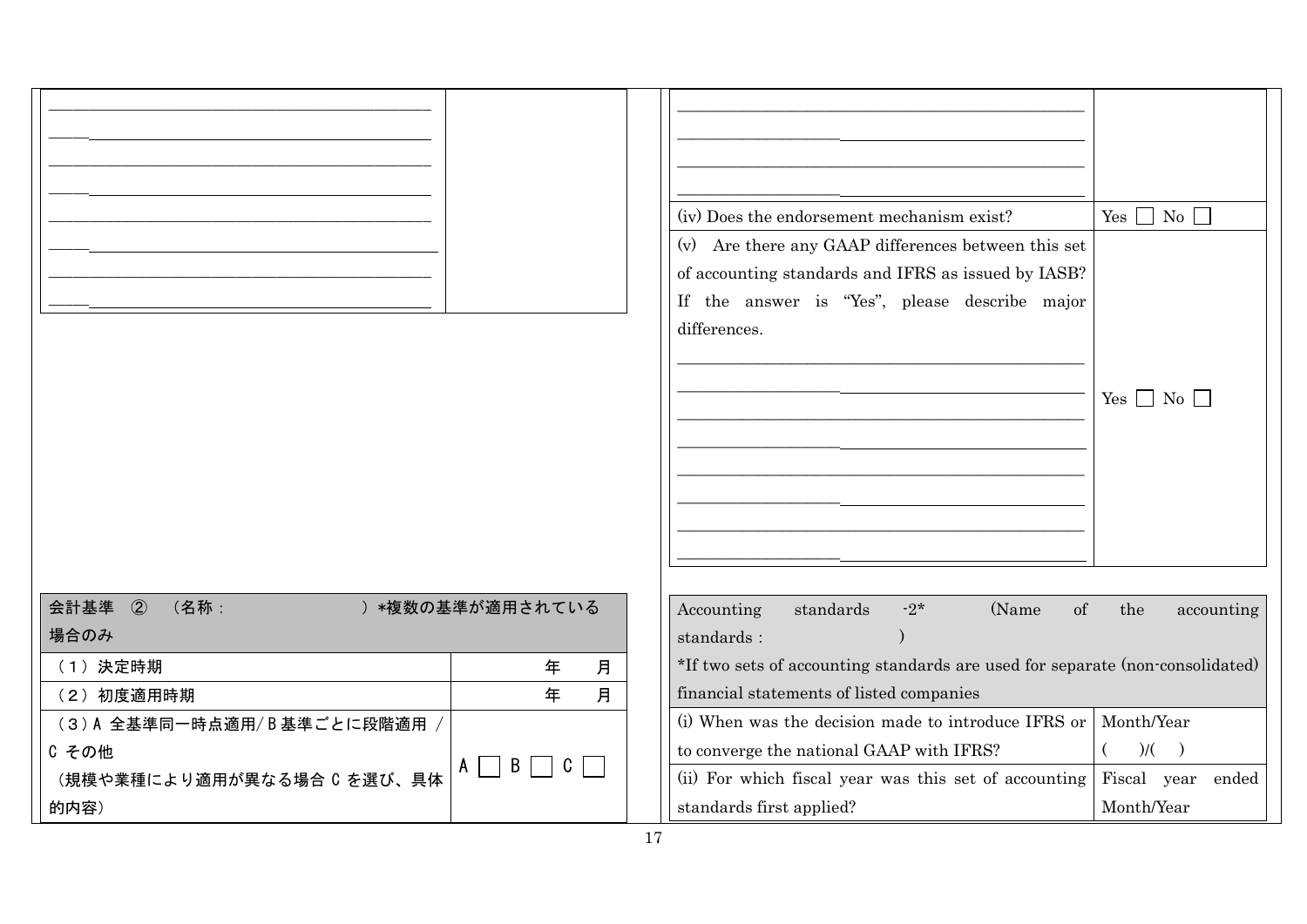|                                       |                                                  | (iv) Does the endorsement mechanism exist?<br>(v) Are there any GAAP differences between this set<br>of accounting standards and IFRS as issued by IASB?<br>If the answer is "Yes", please describe major<br>differences. | Yes $\Box$ No $\Box$<br>$Yes \Box No \Box$ |
|---------------------------------------|--------------------------------------------------|---------------------------------------------------------------------------------------------------------------------------------------------------------------------------------------------------------------------------|--------------------------------------------|
| 会計基準<br>$\circled{2}$<br>(名称:<br>場合のみ | ) *複数の基準が適用されている                                 | (Name<br>Accounting<br>standards<br>$-2*$<br>of<br>standards :                                                                                                                                                            | the<br>accounting                          |
| (1) 決定時期                              | 月<br>年                                           | *If two sets of accounting standards are used for separate (non-consolidated)                                                                                                                                             |                                            |
| (2) 初度適用時期<br>月<br>年                  |                                                  | financial statements of listed companies                                                                                                                                                                                  |                                            |
| (3)A 全基準同一時点適用/B基準ごとに段階適用 /           |                                                  | (i) When was the decision made to introduce IFRS or                                                                                                                                                                       | Month/Year                                 |
| C その他                                 | $\overline{B}$<br>$C \mid \cdot \cdot$<br>$\sim$ | to converge the national GAAP with IFRS?                                                                                                                                                                                  | $)/($ $)$                                  |
| (規模や業種により適用が異なる場合 C を選び、具体            |                                                  | (ii) For which fiscal year was this set of accounting                                                                                                                                                                     | Fiscal year ended                          |
| 的内容)                                  |                                                  | standards first applied?                                                                                                                                                                                                  | Month/Year                                 |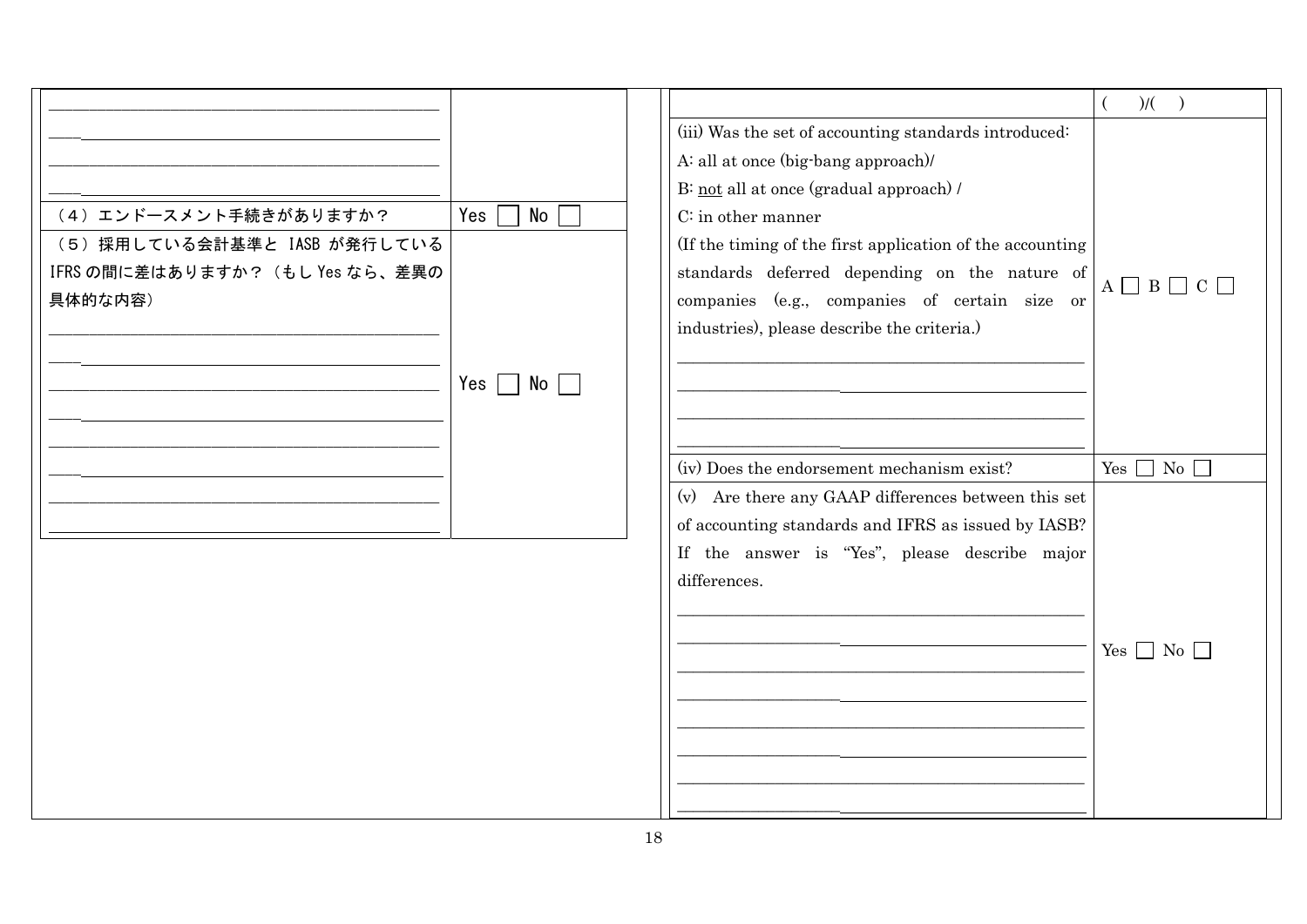|                                 |           |                                                           | )/(                             |
|---------------------------------|-----------|-----------------------------------------------------------|---------------------------------|
|                                 |           | (iii) Was the set of accounting standards introduced:     |                                 |
|                                 |           | A: all at once (big-bang approach)/                       |                                 |
|                                 |           | B: not all at once (gradual approach) /                   |                                 |
| (4) エンドースメント手続きがありますか?          | No<br>Yes | $C$ : in other manner                                     |                                 |
| (5) 採用している会計基準と IASB が発行している    |           | (If the timing of the first application of the accounting |                                 |
| IFRS の間に差はありますか? (もし Yes なら、差異の |           | standards deferred depending on the nature of             | $A \square B \square C \square$ |
| 具体的な内容)                         |           | companies (e.g., companies of certain size or             |                                 |
|                                 |           | industries), please describe the criteria.)               |                                 |
|                                 |           |                                                           |                                 |
|                                 | No<br>Yes |                                                           |                                 |
|                                 |           |                                                           |                                 |
|                                 |           |                                                           |                                 |
|                                 |           | (iv) Does the endorsement mechanism exist?                | Yes $\Box$ No $\Box$            |
|                                 |           | (v) Are there any GAAP differences between this set       |                                 |
|                                 |           | of accounting standards and IFRS as issued by IASB?       |                                 |
|                                 |           | If the answer is "Yes", please describe major             |                                 |
|                                 |           | differences.                                              |                                 |
|                                 |           |                                                           |                                 |
|                                 |           |                                                           |                                 |
|                                 |           |                                                           | Yes $\Box$ No $\Box$            |
|                                 |           |                                                           |                                 |
|                                 |           |                                                           |                                 |
|                                 |           |                                                           |                                 |
|                                 |           |                                                           |                                 |
|                                 |           |                                                           |                                 |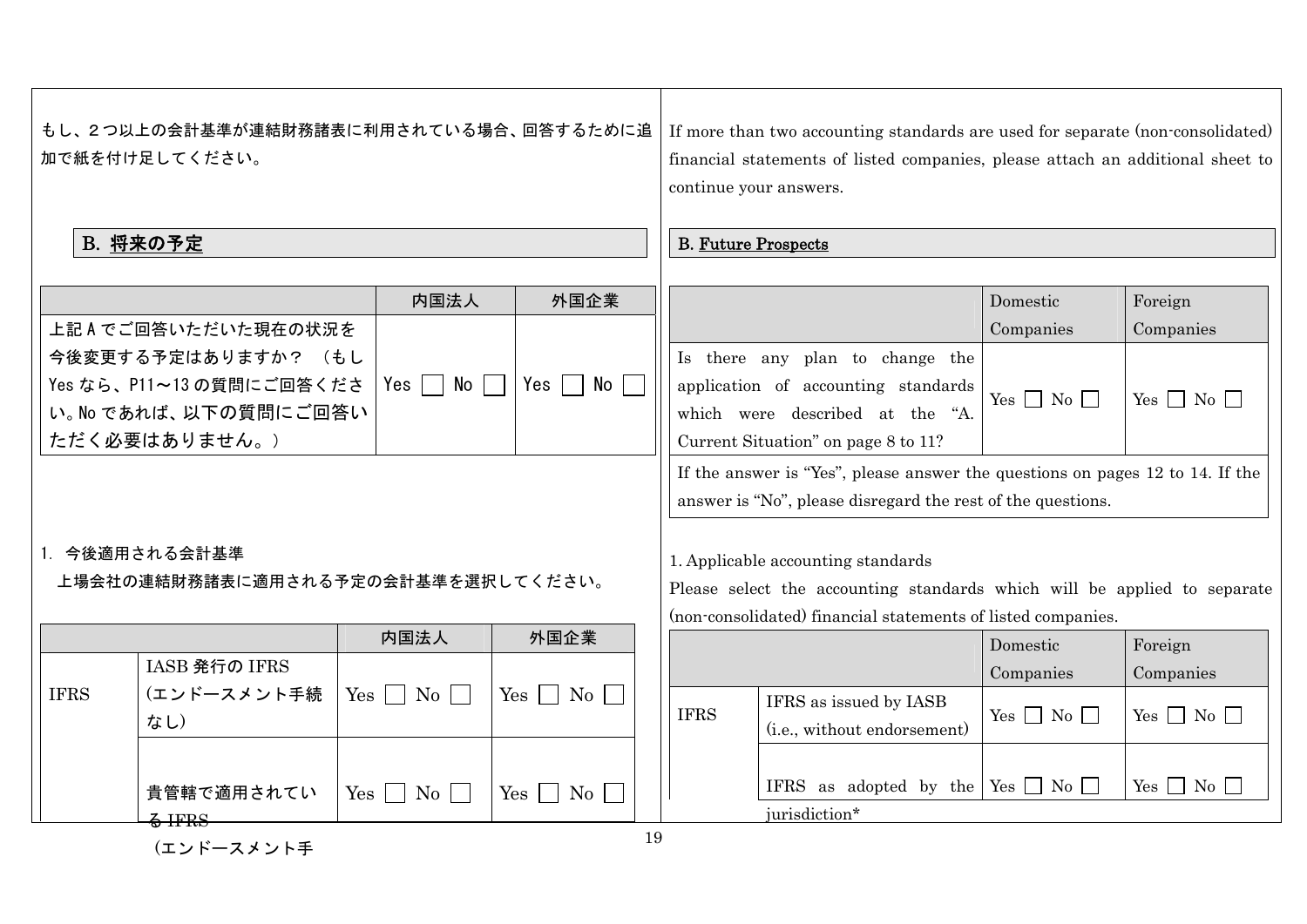|             | もし、2つ以上の会計基準が連結財務諸表に利用されている場合、回答するために追<br>加で紙を付け足してください。<br>B. 将来の予定                     |                                      |                                           |             | If more than two accounting standards are used for separate (non-consolidated)<br>financial statements of listed companies, please attach an additional sheet to<br>continue your answers.<br><b>B. Future Prospects</b> |                      |                    |  |
|-------------|------------------------------------------------------------------------------------------|--------------------------------------|-------------------------------------------|-------------|--------------------------------------------------------------------------------------------------------------------------------------------------------------------------------------------------------------------------|----------------------|--------------------|--|
|             |                                                                                          | 内国法人                                 | 外国企業                                      |             |                                                                                                                                                                                                                          | Domestic             | Foreign            |  |
|             | 上記Aでご回答いただいた現在の状況を                                                                       |                                      |                                           |             |                                                                                                                                                                                                                          | Companies            | Companies          |  |
|             | 今後変更する予定はありますか? (もし<br>Yes なら、P11~13 の質問にご回答くださ<br>い。No であれば、以下の質問にご回答い<br>ただく必要はありません。) | Yes  <br>$No$                        | Yes  <br>No                               |             | Is there any plan to change the<br>application of accounting standards<br>which were described at the "A.<br>Current Situation" on page 8 to 11?                                                                         | Yes $\Box$ No $\Box$ | $Yes \Box No \Box$ |  |
|             |                                                                                          |                                      |                                           |             | If the answer is "Yes", please answer the questions on pages 12 to 14. If the<br>answer is "No", please disregard the rest of the questions.                                                                             |                      |                    |  |
|             | 1. 今後適用される会計基準<br>上場会社の連結財務諸表に適用される予定の会計基準を選択してください。                                     |                                      |                                           |             | 1. Applicable accounting standards<br>Please select the accounting standards which will be applied to separate<br>(non-consolidated) financial statements of listed companies.                                           |                      |                    |  |
|             |                                                                                          | 内国法人                                 | 外国企業                                      |             |                                                                                                                                                                                                                          | Domestic             | Foreign            |  |
|             | IASB 発行の IFRS                                                                            |                                      |                                           |             |                                                                                                                                                                                                                          | Companies            | Companies          |  |
| <b>IFRS</b> | (エンドースメント手続<br>なし)                                                                       | $Yes \mid No \mid$                   | Yes  <br>$\mid$ No $\mid$                 | <b>IFRS</b> | IFRS as issued by IASB<br>(i.e., without endorsement)                                                                                                                                                                    | Yes $\Box$ No $\Box$ | $Yes \tNo \tN$     |  |
|             | 貴管轄で適用されてい<br>$\frac{2}{3}$ IFRS                                                         | $Yes \mid \cdot$<br>$\overline{N_0}$ | Yes  <br>$\blacksquare$ No $\blacksquare$ | 10          | IFRS as adopted by the<br>jurisdiction*                                                                                                                                                                                  | $Yes \Box No \Box$   | $Yes \t No \t$     |  |

(エンドースメント手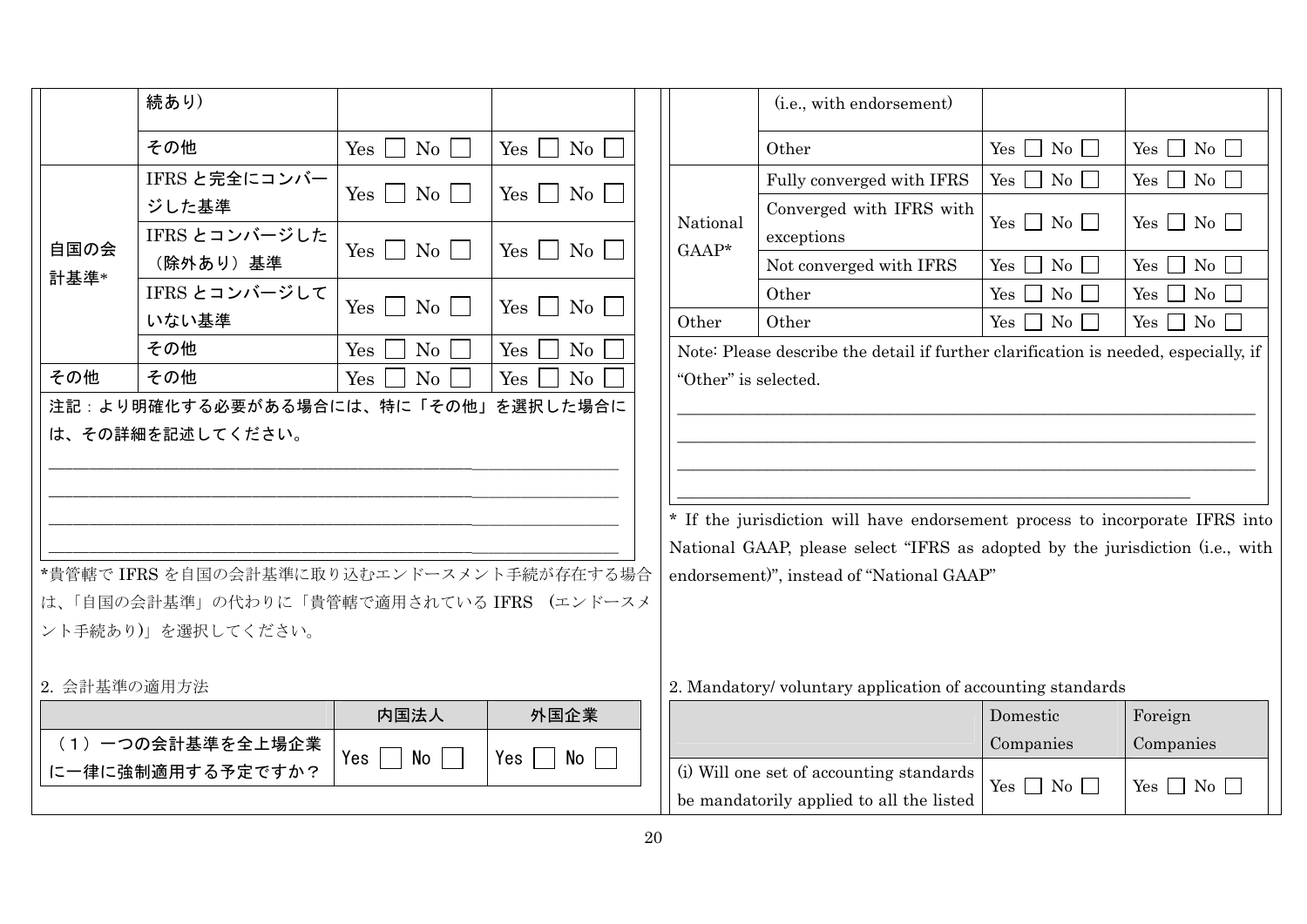|                                                                                                                                                                                                                                                                                                                                                                                                                                                                     | 続あり)                   |                                       |                                  |                      | (i.e., with endorsement)                                                            |                         |                              |
|---------------------------------------------------------------------------------------------------------------------------------------------------------------------------------------------------------------------------------------------------------------------------------------------------------------------------------------------------------------------------------------------------------------------------------------------------------------------|------------------------|---------------------------------------|----------------------------------|----------------------|-------------------------------------------------------------------------------------|-------------------------|------------------------------|
|                                                                                                                                                                                                                                                                                                                                                                                                                                                                     | その他                    | $\mathrm{No}$    <br>$Yes \mid \cdot$ | $Yes \bigsqcup No$               |                      | Other                                                                               | $Yes \n\Box No \n\Box$  | Yes $\Box$ No $\Box$         |
|                                                                                                                                                                                                                                                                                                                                                                                                                                                                     | IFRS と完全にコンバー          | $\mathrm{No}$    <br>$Yes \mid \mid$  | $Yes \bigsqcup No \bigsqcup$     |                      | Fully converged with IFRS                                                           | Yes $\Box$ No $\Box$    | Yes $\Box$ No $\Box$         |
|                                                                                                                                                                                                                                                                                                                                                                                                                                                                     | ジした基準<br>IFRS とコンバージした |                                       |                                  | National             | Converged with IFRS with<br>exceptions                                              | $Yes \Box No \Box$      | $Yes \Box No \Box$           |
| 自国の会                                                                                                                                                                                                                                                                                                                                                                                                                                                                | (除外あり) 基準              | $Yes \tNo \t$                         | $Yes \tNo$                       | $GAAP*$              | Not converged with IFRS                                                             | $Yes \Box No \Box$      | $Yes \n\bigcap No \n\bigcap$ |
| 計基準*                                                                                                                                                                                                                                                                                                                                                                                                                                                                | IFRS とコンバージして          |                                       | $Yes \mid \mid$<br>$\mathrm{No}$ |                      | Other                                                                               | $\overline{N_0}$<br>Yes | $\rm No$<br>$Yes \Box$       |
|                                                                                                                                                                                                                                                                                                                                                                                                                                                                     | いない基準                  | Yes  <br>$\mathrm{No}$                |                                  | Other                | Other                                                                               | Yes<br>No               | $Yes \Box No \Box$           |
|                                                                                                                                                                                                                                                                                                                                                                                                                                                                     | その他                    | Yes<br>No                             | Yes<br>No                        |                      | Note: Please describe the detail if further clarification is needed, especially, if |                         |                              |
| その他                                                                                                                                                                                                                                                                                                                                                                                                                                                                 | その他                    | Yes<br>No                             | No<br>Yes                        | "Other" is selected. |                                                                                     |                         |                              |
| 注記:より明確化する必要がある場合には、特に「その他」を選択した場合に<br>は、その詳細を記述してください。<br>* If the jurisdiction will have endorsement process to incorporate IFRS into<br>National GAAP, please select "IFRS as adopted by the jurisdiction (i.e., with<br>*貴管轄で IFRS を自国の会計基準に取り込むエンドースメント手続が存在する場合<br>endorsement)", instead of "National GAAP"<br>は、「自国の会計基準」の代わりに「貴管轄で適用されている IFRS (エンドースメ<br>ント手続あり)」を選択してください。<br>2. 会計基準の適用方法<br>2. Mandatory/voluntary application of accounting standards |                        |                                       |                                  |                      |                                                                                     |                         |                              |
|                                                                                                                                                                                                                                                                                                                                                                                                                                                                     |                        | 内国法人                                  | 外国企業                             |                      |                                                                                     | Domestic                | Foreign                      |
|                                                                                                                                                                                                                                                                                                                                                                                                                                                                     | (1) 一つの会計基準を全上場企業      | No l                                  |                                  |                      |                                                                                     | Companies               | Companies                    |
|                                                                                                                                                                                                                                                                                                                                                                                                                                                                     | に一律に強制適用する予定ですか?       | Yes I<br>$\sim 10$                    | No<br>Yes<br><b>The Contract</b> |                      | (i) Will one set of accounting standards                                            | $Yes \Box No \Box$      | Yes $\Box$ No $\Box$         |
|                                                                                                                                                                                                                                                                                                                                                                                                                                                                     |                        |                                       |                                  |                      | be mandatorily applied to all the listed                                            |                         |                              |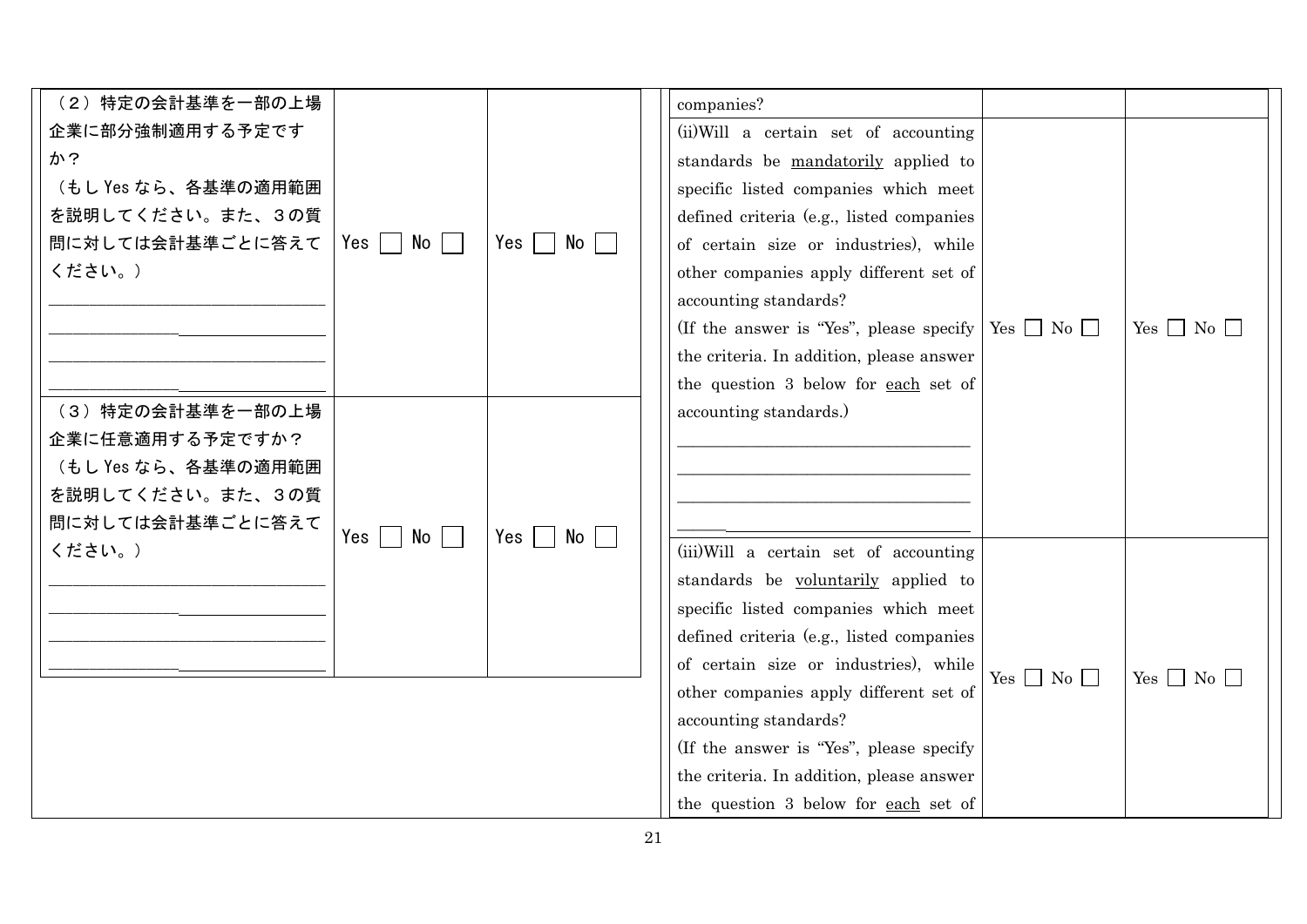| (2) 特定の会計基準を一部の上場   |                                        |                        | companies?                                                     |                    |                    |
|---------------------|----------------------------------------|------------------------|----------------------------------------------------------------|--------------------|--------------------|
| 企業に部分強制適用する予定です     |                                        |                        | (ii) Will a certain set of accounting                          |                    |                    |
| か?                  |                                        |                        | standards be mandatorily applied to                            |                    |                    |
| (もし Yes なら、各基準の適用範囲 |                                        |                        | specific listed companies which meet                           |                    |                    |
| を説明してください。また、3の質    |                                        |                        | defined criteria (e.g., listed companies                       |                    |                    |
| 問に対しては会計基準ごとに答えて    | $No$    <br>Yes I                      | Yes $\vert$ No $\vert$ | of certain size or industries), while                          |                    |                    |
| ください。)              |                                        |                        | other companies apply different set of                         |                    |                    |
|                     |                                        |                        | accounting standards?                                          |                    |                    |
|                     |                                        |                        | (If the answer is "Yes", please specify   Yes $\Box$ No $\Box$ |                    | $Yes \Box No \Box$ |
|                     |                                        |                        | the criteria. In addition, please answer                       |                    |                    |
|                     |                                        |                        | the question 3 below for each set of                           |                    |                    |
| (3) 特定の会計基準を一部の上場   |                                        |                        | accounting standards.)                                         |                    |                    |
| 企業に任意適用する予定ですか?     |                                        |                        |                                                                |                    |                    |
| (もし Yes なら、各基準の適用範囲 |                                        |                        |                                                                |                    |                    |
| を説明してください。また、3の質    |                                        |                        |                                                                |                    |                    |
|                     |                                        |                        |                                                                |                    |                    |
| 問に対しては会計基準ごとに答えて    | No    <br>$Yes \mid$<br>$\blacksquare$ | Yes     No             |                                                                |                    |                    |
| ください。)              |                                        |                        | (iii) Will a certain set of accounting                         |                    |                    |
|                     |                                        |                        | standards be voluntarily applied to                            |                    |                    |
|                     |                                        |                        | specific listed companies which meet                           |                    |                    |
|                     |                                        |                        | defined criteria (e.g., listed companies                       |                    |                    |
|                     |                                        |                        | of certain size or industries), while                          | $Yes \Box No \Box$ | $Yes \tNo \tN$     |
|                     |                                        |                        | other companies apply different set of                         |                    |                    |
|                     |                                        |                        | accounting standards?                                          |                    |                    |
|                     |                                        |                        | (If the answer is "Yes", please specify                        |                    |                    |
|                     |                                        |                        | the criteria. In addition, please answer                       |                    |                    |
|                     |                                        |                        | the question 3 below for each set of                           |                    |                    |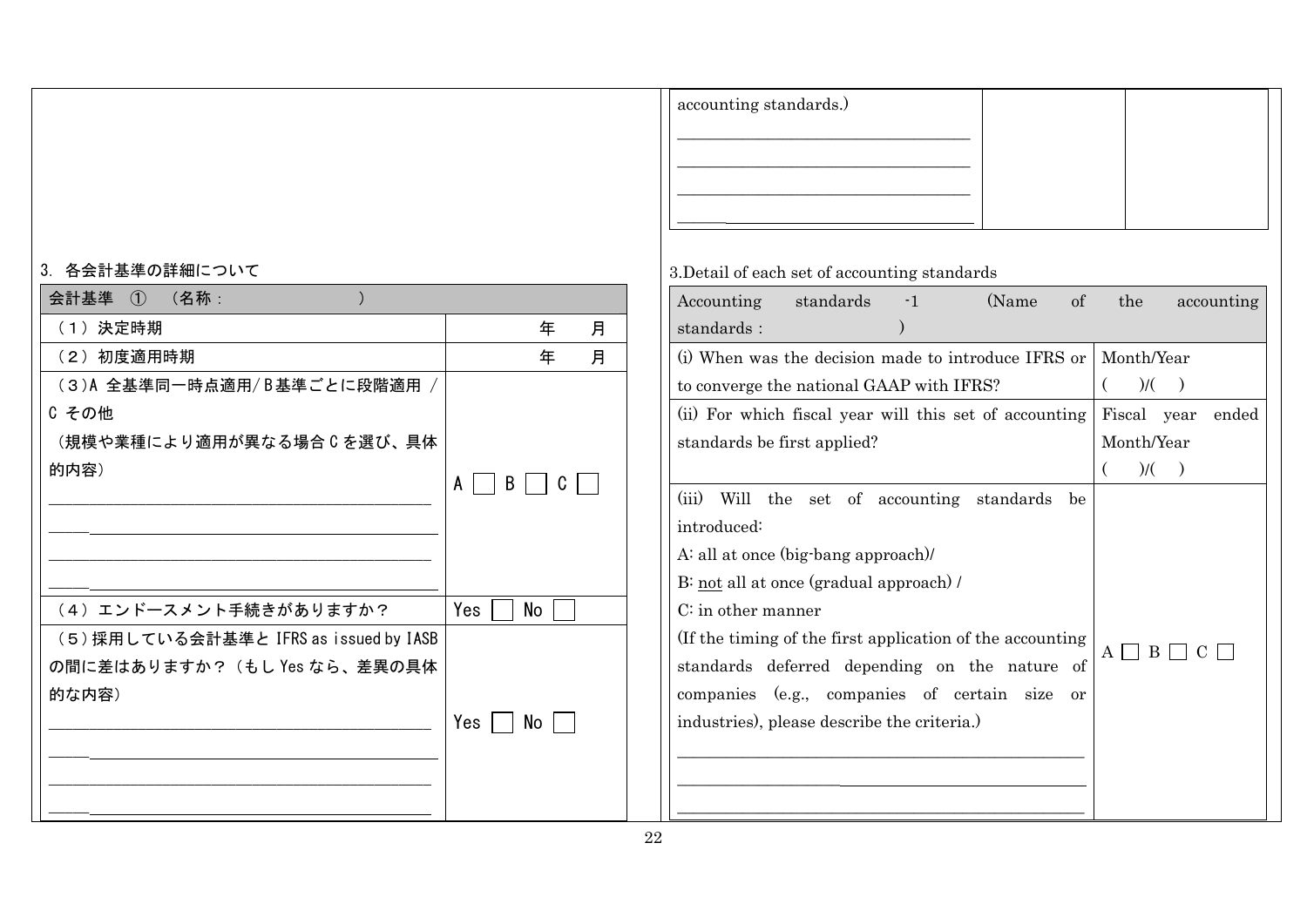|                                        |                        |  | accounting standards.)                                    |                        |
|----------------------------------------|------------------------|--|-----------------------------------------------------------|------------------------|
|                                        |                        |  |                                                           |                        |
| 3. 各会計基準の詳細について                        |                        |  | 3. Detail of each set of accounting standards             |                        |
| 会計基準 ①<br>(名称:                         |                        |  | standards<br>$-1$<br>(Name)<br>of<br>Accounting           | the<br>accounting      |
| (1) 決定時期                               | 年<br>月                 |  | standards :                                               |                        |
| (2) 初度適用時期                             | 年<br>月                 |  | (i) When was the decision made to introduce IFRS or       | Month/Year             |
| (3)A 全基準同一時点適用/B基準ごとに段階適用,             |                        |  | to converge the national GAAP with IFRS?                  | $)/($ $)$              |
| C その他                                  |                        |  | (ii) For which fiscal year will this set of accounting    | Fiscal year ended      |
| (規模や業種により適用が異なる場合 C を選び、具体             |                        |  | standards be first applied?                               | Month/Year             |
| 的内容)                                   | $A \mid B \mid$<br>$C$ |  |                                                           | $)/($ $)$              |
|                                        |                        |  | (iii) Will the set of accounting standards be             |                        |
|                                        |                        |  | introduced:                                               |                        |
|                                        |                        |  | A: all at once (big-bang approach)/                       |                        |
|                                        |                        |  | B: not all at once (gradual approach) /                   |                        |
| (4) エンドースメント手続きがありますか?                 | No<br>Yes              |  | $C$ : in other manner                                     |                        |
| (5) 採用している会計基準と IFRS as issued by IASB |                        |  | (If the timing of the first application of the accounting | $A \Box B \Box C \Box$ |
| の間に差はありますか? (もし Yes なら、差異の具体           |                        |  | standards deferred depending on the nature of             |                        |
| 的な内容)                                  |                        |  | companies (e.g., companies of certain size or             |                        |
|                                        | Yes  <br>No I          |  | industries), please describe the criteria.)               |                        |
|                                        |                        |  |                                                           |                        |
|                                        |                        |  |                                                           |                        |
|                                        |                        |  |                                                           |                        |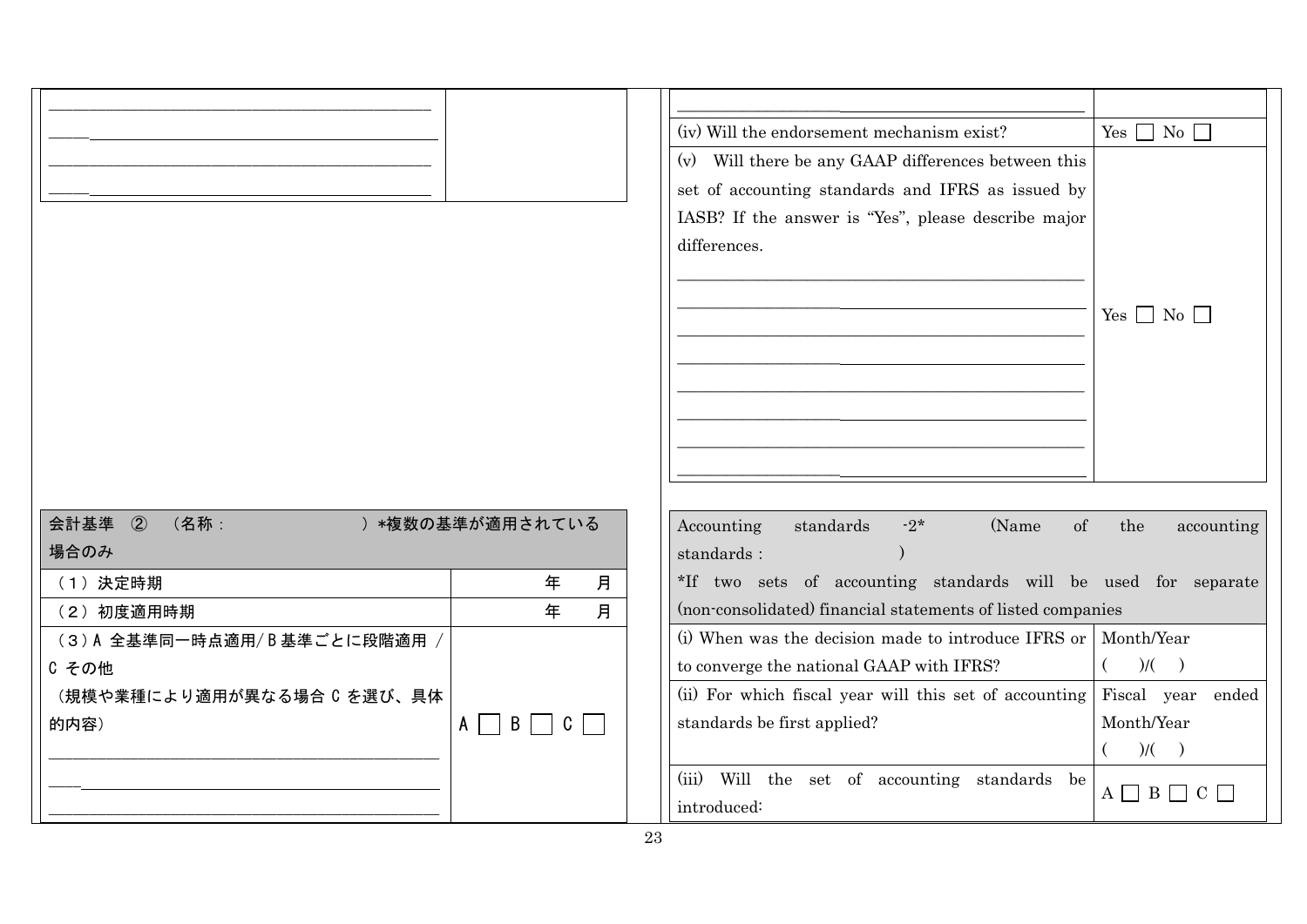|                               |                                                                          | (iv) Will the endorsement mechanism exist?                                                                                                                                      | Yes $\Box$ No $\Box$   |  |
|-------------------------------|--------------------------------------------------------------------------|---------------------------------------------------------------------------------------------------------------------------------------------------------------------------------|------------------------|--|
|                               |                                                                          | (v) Will there be any GAAP differences between this<br>set of accounting standards and IFRS as issued by<br>IASB? If the answer is "Yes", please describe major<br>differences. | Yes $\Box$ No $\Box$   |  |
| 会計基準<br>$\circled{2}$<br>(名称: |                                                                          |                                                                                                                                                                                 |                        |  |
| ) *複数の基準が適用されている<br>場合のみ      |                                                                          | standards<br>of<br>Accounting<br>$-2*$<br>(Name)<br>the<br>accounting<br>standards :                                                                                            |                        |  |
| (1) 決定時期                      | 年<br>月                                                                   | *If two sets of accounting standards will be used for separate                                                                                                                  |                        |  |
| (2) 初度適用時期                    | 年<br>月                                                                   | (non-consolidated) financial statements of listed companies                                                                                                                     |                        |  |
| (3)A 全基準同一時点適用/B基準ごとに段階適用 /   |                                                                          | (i) When was the decision made to introduce IFRS or                                                                                                                             | Month/Year             |  |
| C その他                         |                                                                          | to converge the national GAAP with IFRS?                                                                                                                                        | )/(                    |  |
| (規模や業種により適用が異なる場合 C を選び、具体    |                                                                          | (ii) For which fiscal year will this set of accounting Fiscal year ended                                                                                                        |                        |  |
| 的内容)                          | $\mathsf{B}$<br>$\mathcal{L}$<br>$\vert$ C $\vert$<br>$A \mid$<br>$\sim$ | standards be first applied?                                                                                                                                                     | Month/Year             |  |
|                               |                                                                          |                                                                                                                                                                                 | $($ )/( )              |  |
|                               |                                                                          | (iii) Will the set of accounting standards be<br>introduced:                                                                                                                    | $A \Box B \Box C \Box$ |  |
|                               |                                                                          |                                                                                                                                                                                 |                        |  |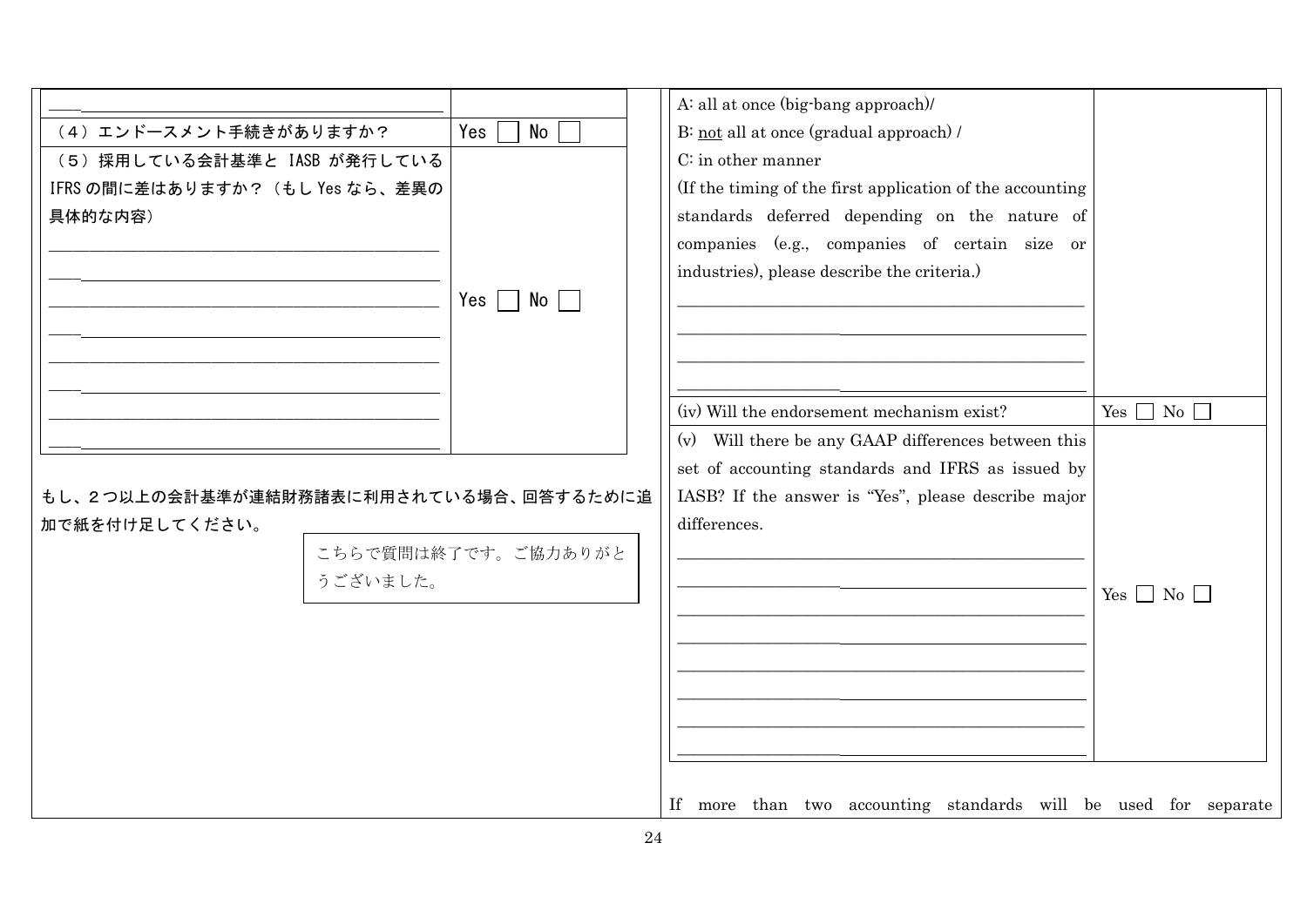|                                        |                             | A: all at once (big-bang approach)/                             |                      |
|----------------------------------------|-----------------------------|-----------------------------------------------------------------|----------------------|
| (4) エンドースメント手続きがありますか?                 | No<br>Yes                   | B: not all at once (gradual approach) /                         |                      |
| (5) 採用している会計基準と IASB が発行している           |                             | $C$ : in other manner                                           |                      |
| IFRS の間に差はありますか? (もし Yes なら、差異の        |                             | (If the timing of the first application of the accounting       |                      |
| 具体的な内容)                                |                             | standards deferred depending on the nature of                   |                      |
|                                        |                             | companies (e.g., companies of certain size or                   |                      |
|                                        |                             | industries), please describe the criteria.)                     |                      |
|                                        | No l<br>Yes $\vert$ $\vert$ |                                                                 |                      |
|                                        |                             |                                                                 |                      |
|                                        |                             |                                                                 |                      |
|                                        |                             |                                                                 |                      |
|                                        |                             | (iv) Will the endorsement mechanism exist?                      | Yes $\Box$ No $\Box$ |
|                                        |                             | (v) Will there be any GAAP differences between this             |                      |
|                                        |                             | set of accounting standards and IFRS as issued by               |                      |
| もし、2つ以上の会計基準が連結財務諸表に利用されている場合、回答するために追 |                             | IASB? If the answer is "Yes", please describe major             |                      |
| 加で紙を付け足してください。                         |                             | differences.                                                    |                      |
|                                        | こちらで質問は終了です。ご協力ありがと         |                                                                 |                      |
| うございました。                               |                             |                                                                 |                      |
|                                        |                             |                                                                 | $Yes \Box No \Box$   |
|                                        |                             |                                                                 |                      |
|                                        |                             |                                                                 |                      |
|                                        |                             |                                                                 |                      |
|                                        |                             |                                                                 |                      |
|                                        |                             |                                                                 |                      |
|                                        |                             |                                                                 |                      |
|                                        |                             | If more than two accounting standards will be used for separate |                      |